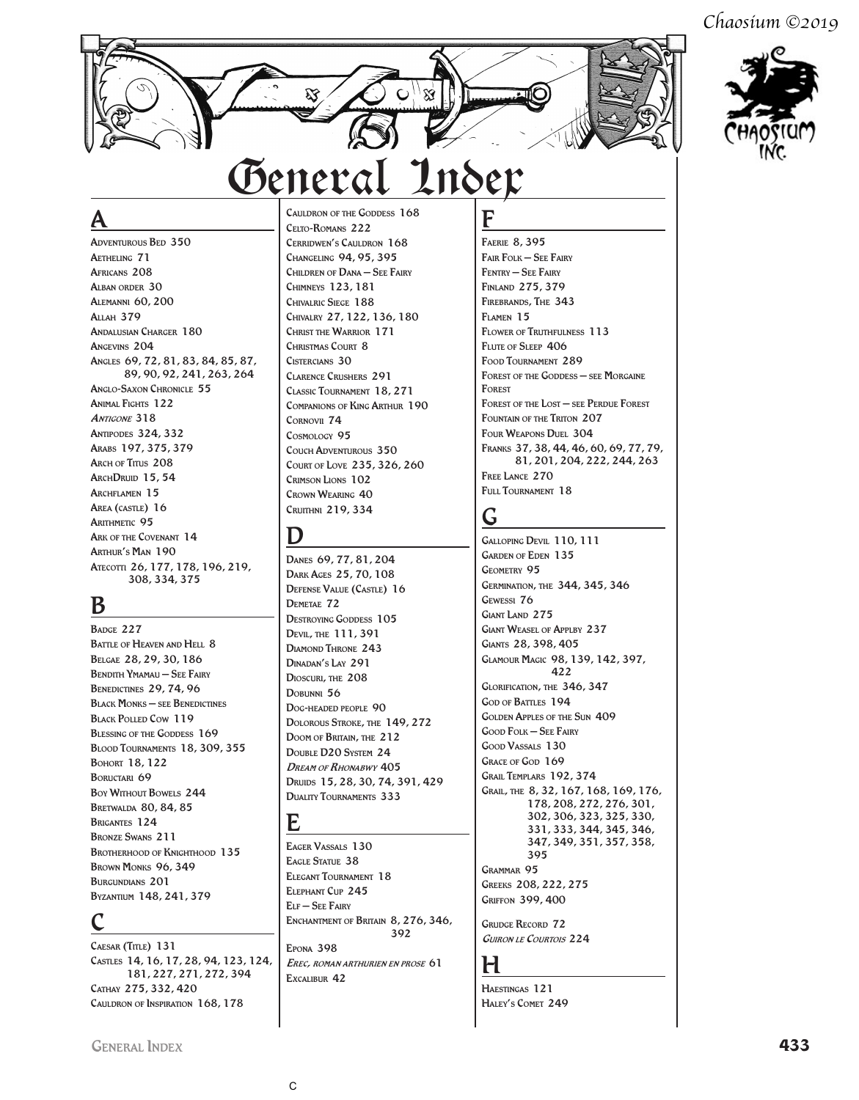*Chaosium ©2019*



## A

Adventurous Bed 350 Aetheling 71 Africans 208 Alban order 30 Alemanni 60, 200 Allah 379 ANDALUSIAN CHARGER 180 Angevins 204 Angles 69, 72, 81, 83, 84, 85, 87, 89, 90, 92, 241, 263, 264 Anglo-Saxon Chronicle 55 Animal Fights 122 **ANTIGONE 318** Antipodes 324, 332 Arabs 197, 375, 379 ARCH OF TITUS 208 ARCHDRUID 15, 54 ARCHFLAMEN 15 Area (castle) 16 ARITHMETIC 95 Ark of the Covenant 14 Arthur's Man 190 Atecotti 26, 177, 178, 196, 219, 308, 334, 375

### B

BADGE 227 BATTLE OF HEAVEN AND HELL 8 Belgae 28, 29, 30, 186 Bendith Ymamau – See Fairy BENEDICTINES 29, 74, 96 Black Monks – see Benedictines BLACK POLLED COW 119 BLESSING OF THE GODDESS 169 Blood Tournaments 18, 309, 355 Bohort 18, 122 BORUCTARI 69 Boy Without Bowels 244 Bretwalda 80, 84, 85 Brigantes 124 Bronze Swans 211 BROTHERHOOD OF KNIGHTHOOD 135 BROWN MONKS 96, 349 BURGUNDIANS 201 Byzantium 148, 241, 379

## C

CAESAR (TITLE) 131 Castles 14, 16, 17, 28, 94, 123, 124, 181, 227, 271, 272, 394 Cathay 275, 332, 420 Cauldron of Inspiration 168, 178

Cauldron of the Goddess 168 Celto-Romans 222 Cerridwen's Cauldron 168 Changeling 94, 95, 395 Children of Dana – See Fairy Chimneys 123, 181 Chivalric Siege 188 Chivalry 27, 122, 136, 180 Christ the Warrior 171 CHRISTMAS COURT 8 Cistercians 30 Clarence Crushers 291 Classic Tournament 18, 271 Companions of King Arthur 190 Cornovii 74 Cosmology 95 Couch Adventurous 350 Court of Love 235, 326, 260 Crimson Lions 102 Crown Wearing 40 Cruithni 219, 334

### D

Danes 69, 77, 81, 204 Dark Ages 25, 70, 108 Defense Value (Castle) 16 DEMETAE 72 DESTROYING GODDESS 105 Devil, the 111, 391 Diamond Throne 243 Dinadan's Lay 291 Dioscuri, the 208 DOBUNNI 56 Dog-headed people 90 Dolorous Stroke, the 149, 272 Doom of Britain, the 212 Double D20 System 24 **DREAM OF RHONABWY 405** Druids 15, 28, 30, 74, 391, 429 Duality Tournaments 333

### E

Eager Vassals 130 EAGLE STATUE 38 Elegant Tournament 18 Elephant Cup 245 Elf – See Fairy ENCHANTMENT OF BRITAIN 8, 276, 346,

392 Epona 398 Erec, roman arthurien en prose 61 Excalibur 42

F Faerie 8, 395 Fair Folk – See Fairy Fentry – See Fairy Finland 275, 379 Firebrands, The 343 Flamen 15 FLOWER OF TRUTHFULNESS 113 FLUTE OF SLEEP 406 Food Tournament 289 Forest of the Goddess – see Morgaine Forest FOREST OF THE LOST - SEE PERDUE FOREST FOUNTAIN OF THE TRITON 207 Four Weapons Duel 304 Franks 37, 38, 44, 46, 60, 69, 77, 79, 81, 201, 204, 222, 244, 263 FREE LANCE 270 FULL TOURNAMENT 18

# G

Galloping Devil 110, 111 Garden of Eden 135 Geometry 95 Germination, the 344, 345, 346 Gewessi 76 GIANT LAND 275 Giant Weasel of Applby 237 Giants 28, 398, 405 Glamour Magic 98, 139, 142, 397, 422 Glorification, the 346, 347 GOD OF BATTLES 194 Golden Apples of the Sun 409 Good Folk – See Fairy Good Vassals 130 GRACE OF GOD 169 Grail Templars 192, 374 Grail, the 8, 32, 167, 168, 169, 176, 178, 208, 272, 276, 301, 302, 306, 323, 325, 330, 331, 333, 344, 345, 346, 347, 349, 351, 357, 358, 395 Grammar 95 Greeks 208, 222, 275 Griffon 399, 400

**GRUDGE RECORD 72** Guiron le Courtois 224

### H

Haestingas 121 HALEY'S COMET 249

General Index **433**

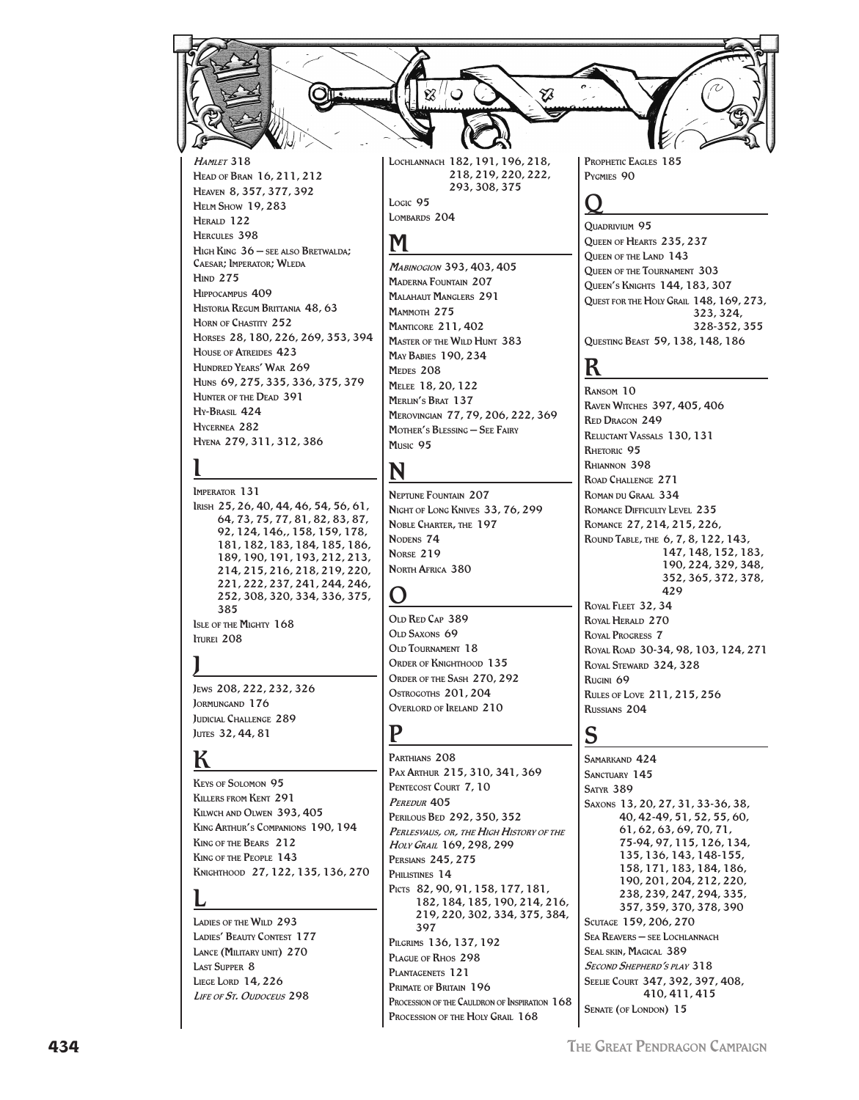

Мавиюском 393, 403, 405 **MADERNA FOUNTAIN 207 MALAHAUT MANGLERS 291** MAMMOTH 275 **MANTICORE 211, 402 MASTER OF THE WILD HUNT 383 MAY BABIES 190.234** MEDES 208 MELEE 18, 20, 122 **MERLIN'S BRAT 137** MEROVINGIAN 77, 79, 206, 222, 369 MOTHER'S BLESSING - SEE FAIRY Music 95

# N

**NEPTUNE FOUNTAIN 207** NIGHT OF LONG KNIVES 33, 76, 299 NOBLE CHARTER, THE 197 NODENS<sub>74</sub> **NORSE 219** NORTH AFRICA 380

### $\mathbf{\Omega}$

OLD RED CAP 389 OLD SAXONS 69 OLD TOURNAMENT 18 ORDER OF KNIGHTHOOD 135 ORDER OF THE SASH 270, 292 OSTROGOTHS 201, 204 OVERLORD OF IRELAND 210

### P

PARTHIANS<sub>208</sub> PAX ARTHUR 215, 310, 341, 369 PENTECOST COURT 7.10 PEREDUR<sub>405</sub> PERILOUS BED 292, 350, 352 PERLESVAUS, OR, THE HIGH HISTORY OF THE HOLY GRAN 169, 298, 299 **PERSIANS 245.275** PHILISTINES 14 PICTS 82, 90, 91, 158, 177, 181, 182, 184, 185, 190, 214, 216, 219, 220, 302, 334, 375, 384, 397 PILGRIMS 136, 137, 192 PLAGUE OF RHOS 298 PLANTAGENETS 121 PRIMATE OF BRITAIN 196 PROCESSION OF THE CAULDRON OF INSPIRATION 168 PROCESSION OF THE HOLY GRAIL 168

QUEEN OF HEARTS 235, 237 QUEEN OF THE LAND 143 QUEEN OF THE TOURNAMENT 303 QUEEN'S KNIGHTS 144, 183, 307 QUEST FOR THE HOLY GRAIL 148, 169, 273,  $323.324$ 328-352, 355 QUESTING BEAST 59, 138, 148, 186

### K

RANSOM 10 **RAVEN WITCHES 397, 405, 406 RED DRAGON 249** RELUCTANT VASSALS 130, 131 RHETORIC 95 RHIANNON 398 ROAD CHALLENGE 271 ROMAN DU GRAAL 334 ROMANCE DIFFICULTY LEVEL 235 ROMANCE 27, 214, 215, 226, ROUND TABLE, THE 6, 7, 8, 122, 143, 147, 148, 152, 183, 190, 224, 329, 348, 352, 365, 372, 378, 429

**ROYAL FLEET 32.34** ROYAL HERALD 270 ROYAL PROGRESS 7 ROYAL ROAD 30-34, 98, 103, 124, 271 ROYAL STEWARD 324, 328 RUGINI 69 **RULES OF LOVE 211.215.256** RUSSIANS<sub>204</sub>

## S

SAMARKAND 424 SANCTHARY 145 **SATYR 389** SAXONS 13, 20, 27, 31, 33-36, 38, 40, 42-49, 51, 52, 55, 60, 61, 62, 63, 69, 70, 71, 75-94, 97, 115, 126, 134, 135, 136, 143, 148-155, 158, 171, 183, 184, 186, 190, 201, 204, 212, 220, 238, 239, 247, 294, 335, 357, 359, 370, 378, 390 SCUTAGE 159, 206, 270 **SEA REAVERS - SEE LOCHLANNACH** SEAL SKIN, MAGICAL 389 SECOND SHEPHERD'S PLAY 318 SEELIE COURT 347, 392, 397, 408, 410, 411, 415 SENATE (OF LONDON) 15

HIGH KING 36 - SEE ALSO BRETWALDA: **CAESAR**; IMPERATOR; WLEDA **HIND 275** HIPPOCAMPUS 409 HISTORIA REGUM BRITTANIA 48, 63 HORN OF CHASTITY 252 HORSES 28, 180, 226, 269, 353, 394 **HOUSE OF ATREIDES 423** HUNDRED YEARS' WAR 269 Huns 69, 275, 335, 336, 375, 379 **HUNTER OF THE DEAD 391** Hy-Brasil 424 HYCERNEA 282 HYENA 279, 311, 312, 386

IMPERATOR 131 IRISH 25, 26, 40, 44, 46, 54, 56, 61, 64, 73, 75, 77, 81, 82, 83, 87, 92, 124, 146,, 158, 159, 178, 181, 182, 183, 184, 185, 186, 189, 190, 191, 193, 212, 213, 214, 215, 216, 218, 219, 220, 221, 222, 237, 241, 244, 246, 252, 308, 320, 334, 336, 375, 385 **ISLE OF THE MIGHTY 168 ITUREL 208** 

Jews 208, 222, 232, 326 JORMUNGAND 176 **JUDICIAL CHALLENGE 289** JUTES 32, 44, 81

# ĸ

**KEYS OF SOLOMON 95 KILLERS FROM KENT 291** KILWCH AND OLWEN 393, 405 KING ARTHUR'S COMPANIONS 190, 194 KING OF THE BEARS 212 KING OF THE PEOPLE 143 Кмснтноор 27, 122, 135, 136, 270

LADIES OF THE WILD 293 **LADIES' BEAUTY CONTEST 177** LANCE (MILITARY UNIT) 270 LACT SUPPER & **LIEGE LORD 14, 226** LIFE OF St. OUDOCEUS 298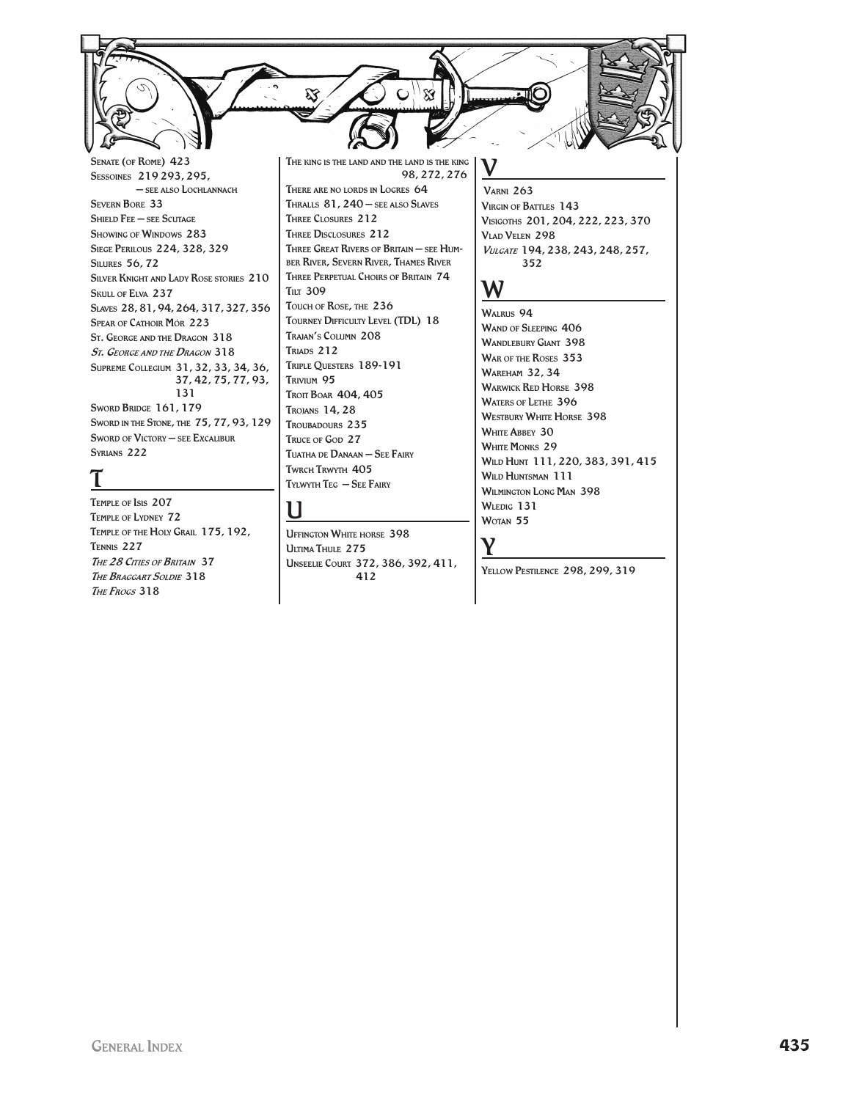SENATE (OF ROME) 423 SESSOINES 219 293, 295, - SEE ALSO LOCHLANNACH **SEVERN BORE 33** SHIELD FEE - SEE SCUTAGE **SHOWING OF WINDOWS 283** SIEGE PERILOUS 224, 328, 329 **SILURES 56, 72** SILVER KNIGHT AND LADY ROSE STORIES 210 SKULL OF ELVA 237 SLAVES 28, 81, 94, 264, 317, 327, 356 **SPEAR OF CATHOIR MÓR 223** ST. GEORGE AND THE DRAGON 318 ST. GEORGE AND THE DRAGON 318 SUPREME COLLEGIUM 31, 32, 33, 34, 36, 37, 42, 75, 77, 93, 131 SWORD BRIDGE 161, 179 SWORD IN THE STONE, THE 75, 77, 93, 129 SWORD OF VICTORY - SEE EXCALIBUR SYRIANS 222

TEMPLE OF ISIS 207 TEMPLE OF LYDNEY 72 TEMPLE OF THE HOLY GRAIL 175, 192, TENNIS 227 THE 28 CITIES OF BRITAIN 37 THE BRAGGART SOLDIE 318 THE FROGS 318

THE KING IS THE LAND AND THE LAND IS THE KING 98, 272, 276 THERE ARE NO LORDS IN LOGRES 64 THRALLS 81, 240 - SEE ALSO SLAVES

THREE CLOSURES 212 THREE DISCLOSURES 212 THREE GREAT RIVERS OF BRITAIN - SEE HUM-BER RIVER, SEVERN RIVER, THAMES RIVER THREE PERPETUAL CHOIRS OF BRITAIN 74 **Тит 309** TOUCH OF ROSE, THE 236 TOURNEY DIFFICULTY LEVEL (TDL) 18 TRAJAN'S COLUMN 208 TRIADS 212 TRIPLE QUESTERS 189-191 TRIVIUM 95 TROIT BOAR 404, 405 TROJANS 14, 28 TROUBADOURS 235 TRUCE OF GOD 27 TUATHA DE DANAAN - SEE FAIRY TWRCH TRWYTH 405 TYLWYTH TEG - SEE FAIRY

### U

**UFFINGTON WHITE HORSE 398** ULTIMA THULE 275 UNSEELIE COURT 372, 386, 392, 411, 412

**VARNI 263** VIRGIN OF BATTLES 143 VISIGOTHS 201, 204, 222, 223, 370 VLAD VELEN 298 VULGATE 194, 238, 243, 248, 257, 352

### W

WALRUS 94 WAND OF SLEEPING 406 **WANDLEBURY GIANT 398** WAR OF THE ROSES 353 **WAREHAM 32, 34 WARWICK RED HORSE 398 WATERS OF LETHE 396 WESTBURY WHITE HORSE 398 WHITE ABBEY 30 WHITE MONKS 29** WILD HUNT 111, 220, 383, 391, 415 WILD HUNTSMAN 111 **WILMINGTON LONG MAN 398** WLEDIG 131 WOTAN 55

### Y

YELLOW PESTILENCE 298, 299, 319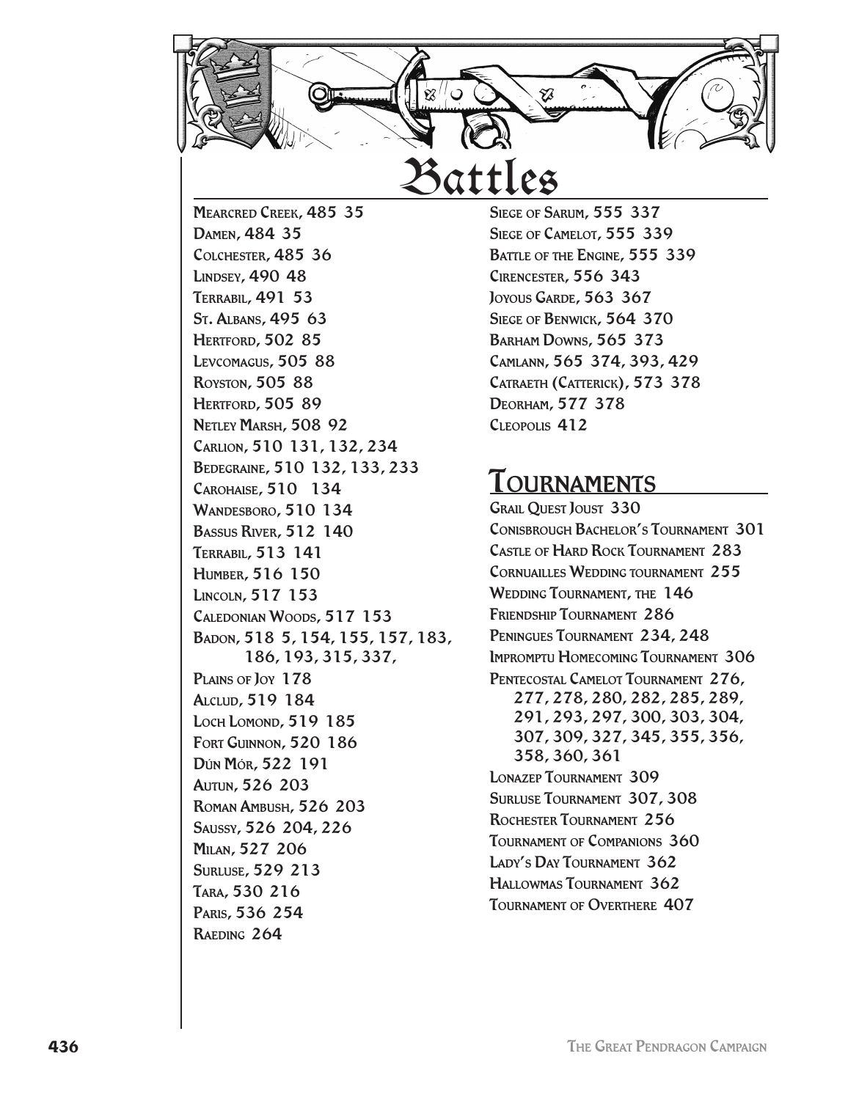

Mearcred Creek, 485 35 Damen, 484 35 Colchester, 485 36 Lindsey, 490 48 Terrabil, 491 53 St. Albans, 495 63 **HERTFORD, 502 85** Levcomagus, 505 88 Royston, 505 88 HERTFORD, 505 89 NETLEY MARSH, 508 92 Carlion, 510 131, 132, 234 Bedegraine, 510 132, 133, 233 Carohaise, 510 134 WANDESBORO, 510 134 Bassus River, 512 140 Terrabil, 513 141 Humber, 516 150 Lincoln, 517 153 Caledonian Woods, 517 153 Badon, 518 5, 154, 155, 157, 183, 186, 193, 315, 337, PLAINS OF JOY 178 Alclud, 519 184 Loch Lomond, 519 185 Fort Guinnon, 520 186 Dún Mór, 522 191 Autun, 526 203 Roman Ambush, 526 203 Saussy, 526 204, 226 Milan, 527 206 Surluse, 529 213 Tara, 530 216 Paris, 536 254 Raeding 264

SIEGE OF SARUM, 555 337 SIEGE OF CAMELOT, 555 339 BATTLE OF THE ENGINE, 555 339 Cirencester, 556 343 JOYOUS GARDE, 563 367 SIEGE OF BENWICK, 564 370 Barham Downs, 565 373 Camlann, 565 374, 393, 429 CATRAETH (CATTERICK), 573 378 Deorham, 577 378 Cleopolis 412

# Tournaments

Grail Quest Joust 330 Conisbrough Bachelor's Tournament 301 Castle of Hard Rock Tournament 283 Cornuailles Wedding tournament 255 WEDDING TOURNAMENT, THE 146 Friendship Tournament 286 Peningues Tournament 234, 248 Impromptu Homecoming Tournament 306 Pentecostal Camelot Tournament 276, 277, 278, 280, 282, 285, 289, 291, 293, 297, 300, 303, 304, 307, 309, 327, 345, 355, 356, 358, 360, 361 Lonazep Tournament 309 Surluse Tournament 307, 308 Rochester Tournament 256 Tournament of Companions 360 LADY'S DAY TOURNAMENT 362 Hallowmas Tournament 362 Tournament of Overthere 407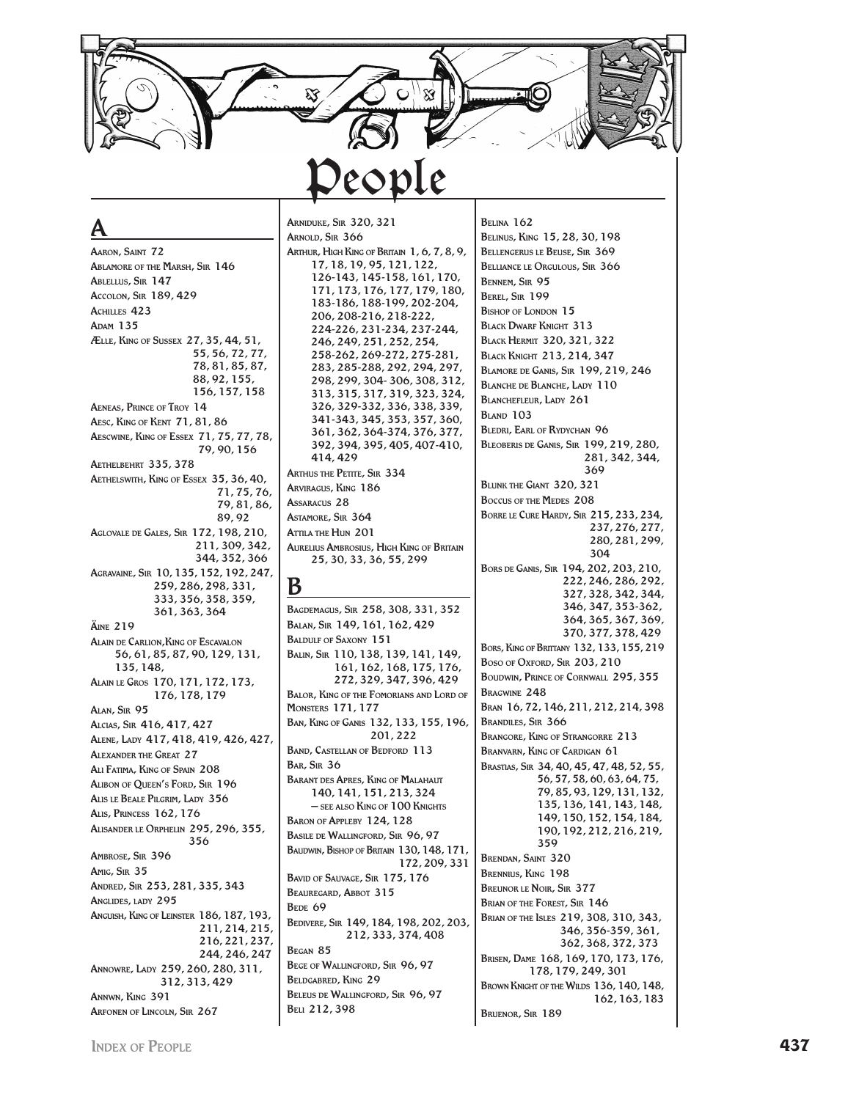**ARNIDUKE, SIR 320, 321 BELINA 162** 

AARON, SAINT 72 **ABLAMORE OF THE MARSH, SIR 146** ABLELLUS, SIR 147 Accolon, SIR 189, 429 **ACHILLES 423 ADAM 135** ÆLLE, KING OF SUSSEX 27, 35, 44, 51, 55, 56, 72, 77, 78, 81, 85, 87, 88.92.155. 156, 157, 158 **AENEAS, PRINCE OF TROY 14** AESC, KING OF KENT 71, 81, 86 AESCWINE, KING OF ESSEX 71, 75, 77, 78, 79, 90, 156 АЕТНЕLВЕНКТ 335, 378 AETHELSWITH, KING OF ESSEX 35, 36, 40, 71, 75, 76, 79.81.86. 89.92 AGLOVALE DE GALES, SIR 172, 198, 210, 211, 309, 342, 344, 352, 366 AGRAVAINE, SIR 10, 135, 152, 192, 247, 259, 286, 298, 331, 333, 356, 358, 359, 361, 363, 364 **ÄINE 219 ALAIN DE CARLION, KING OF ESCAVALON** 56, 61, 85, 87, 90, 129, 131, 135, 148 ALAIN LE GROS 170, 171, 172, 173, 176, 178, 179 ALAN. SIR 95 ALCIAS, SIR 416, 417, 427 ALENE, LADY 417, 418, 419, 426, 427, **ALEXANDER THE GREAT 27** ALI FATIMA, KING OF SPAIN 208 ALIBON OF QUEEN'S FORD, SIR 196 ALIS LE BEALE PILGRIM, LADY 356 **ALIS. PRINCESS 162.176** ALISANDER LE ORPHELIN 295, 296, 355, 356 AMBROSE, SIR 396 AMIG, SIR 35 ANDRED, SIR 253, 281, 335, 343 ANGLIDES, LADY 295 ANGUISH, KING OF LEINSTER 186, 187, 193, 211.214.215. 216, 221, 237, 244.246.247 ANNOWRE, LADY 259, 260, 280, 311, 312, 313, 429 ANNWN, KING 391 ARFONEN OF LINCOLN, SIR 267

# ARNOLD, SIR 366

ARTHUR, HIGH KING OF BRITAIN 1, 6, 7, 8, 9, 17, 18, 19, 95, 121, 122, 126-143, 145-158, 161, 170, 171, 173, 176, 177, 179, 180, 183-186, 188-199, 202-204, 206, 208-216, 218-222, 224-226, 231-234, 237-244, 246.249.251.252.254. 258-262, 269-272, 275-281, 283, 285-288, 292, 294, 297, 298, 299, 304-306, 308, 312, 313, 315, 317, 319, 323, 324, 326, 329-332, 336, 338, 339, 341-343, 345, 353, 357, 360, 361, 362, 364-374, 376, 377, 392, 394, 395, 405, 407-410, 414.429 **ARTHUS THE PETITE, SIR 334** ARVIRAGUS, KING 186 **ASSARACUS 28** ASTAMORE, SIR 364 ATTILA THE HUN 201 **AURELIUS AMBROSIUS, HIGH KING OF BRITAIN** 25, 30, 33, 36, 55, 299

### B

BAGDEMAGUS, SIR 258, 308, 331, 352 BALAN, SIR 149, 161, 162, 429 **BALDULF OF SAXONY 151** BALIN, SIR 110, 138, 139, 141, 149, 161, 162, 168, 175, 176, 272, 329, 347, 396, 429 **BALOR, KING OF THE FOMORIANS AND LORD OF MONSTERS 171, 177** BAN, KING OF GANIS 132, 133, 155, 196, 201.222 **BAND, CASTELLAN OF BEDFORD 113 BAR.** SIR 36 **BARANT DES APRES, KING OF MALAHAUT** 140, 141, 151, 213, 324 - SEE ALSO KING OF 100 KNIGHTS BARON OF APPLEBY 124, 128 BASILE DE WALLINGFORD, SIR 96, 97 BAUDWIN, BISHOP OF BRITAIN 130, 148, 171, 172, 209, 331 BAVID OF SALIVAGE, SIR 175, 176 BEAUREGARD, ABBOT 315 BEDE 69 BEDIVERE, SIR 149, 184, 198, 202, 203, 212, 333, 374, 408 BEGAN 85 BEGE OF WALLINGFORD, SIR 96, 97 BELDGABRED, KING 29 BELEUS DE WALLINGFORD, SIR 96, 97 **BELL 212,398** 

BELINUS, KING 15, 28, 30, 198 BELLENGERUS LE BEUSE, SIR 369 BELLIANCE LE ORGULOUS, SIR 366 **BENNEM, SIR 95** BEREL, SIR 199 **BISHOP OF LONDON 15 BLACK DWARF KNIGHT 313** BLACK HERMIT 320, 321, 322 **BLACK KNIGHT 213, 214, 347 BLAMORE DE GANIS, SIR 199, 219, 246** BLANCHE DE BLANCHE, LADY 110 **BLANCHEFLEUR, LADY 261 BLAND 103 BLEDRI, EARL OF RYDYCHAN 96 BLEOBERIS DE GANIS, SIR 199, 219, 280,** 281, 342, 344, 369 BLUNK THE GIANT 320, 321 BOCCUS OF THE MEDES 208 BORRE LE CURE HARDY, SIR 215, 233, 234, 237, 276, 277, 280, 281, 299,  $304$ BORS DE GANIS, SIR 194, 202, 203, 210, 222, 246, 286, 292, 327, 328, 342, 344, 346, 347, 353-362. 364, 365, 367, 369, 370, 377, 378, 429 BORS, KING OF BRITTANY 132, 133, 155, 219 Boso of OXFORD, SIR 203, 210 BOUDWIN, PRINCE OF CORNWALL 295, 355 **BRAGWINE 248** BRAN 16, 72, 146, 211, 212, 214, 398 **BRANDILES, SIR 366 BRANGORE, KING OF STRANGORRE 213 BRANVARN, KING OF CARDIGAN 61** BRASTIAS, SIR 34, 40, 45, 47, 48, 52, 55, 56, 57, 58, 60, 63, 64, 75, 79, 85, 93, 129, 131, 132, 135, 136, 141, 143, 148, 149, 150, 152, 154, 184, 190, 192, 212, 216, 219, 359 **BRENDAN, SAINT 320 BRENNIUS, KING 198** BREUNOR LE NOIR, SIR 377 **BRIAN OF THE FOREST, SIR 146** BRIAN OF THE ISLES 219, 308, 310, 343, 346, 356-359, 361, 362, 368, 372, 373 BRISEN, DAME 168, 169, 170, 173, 176, 178, 179, 249, 301 BROWN KNIGHT OF THE WILDS 136, 140, 148,

162, 163, 183

**BRUENOR, SIR 189**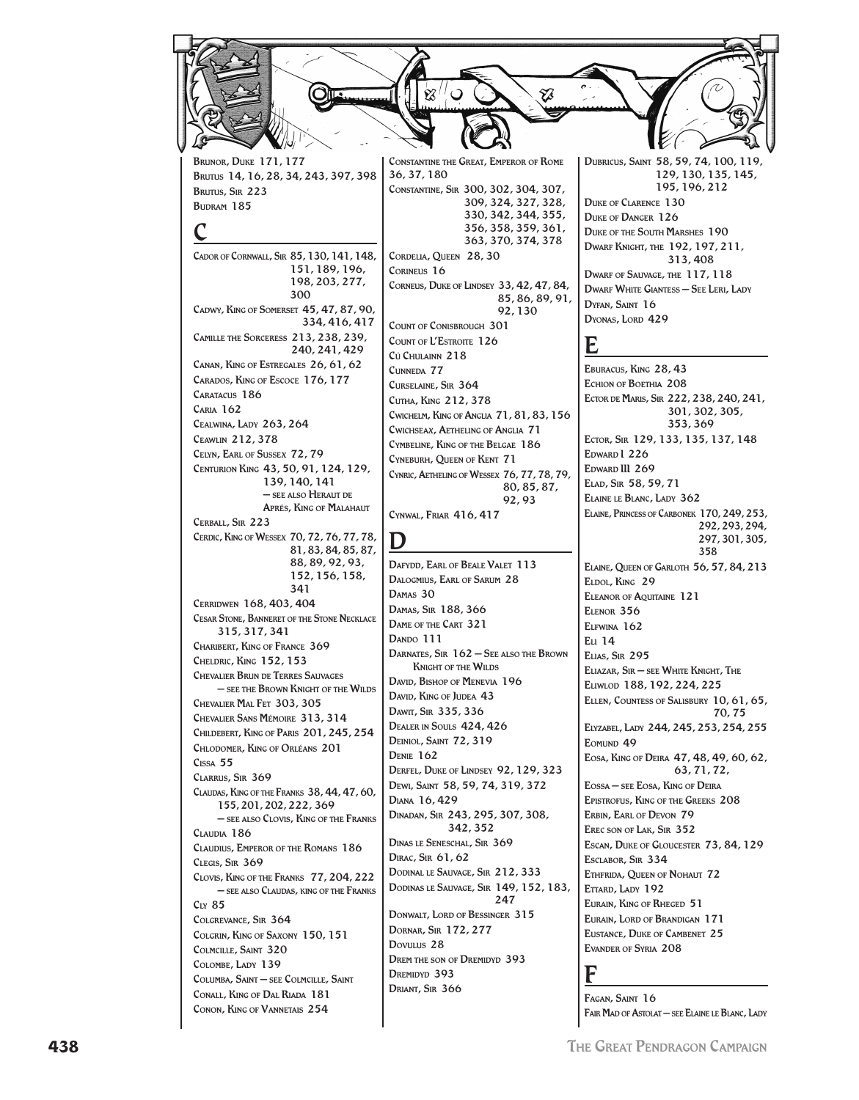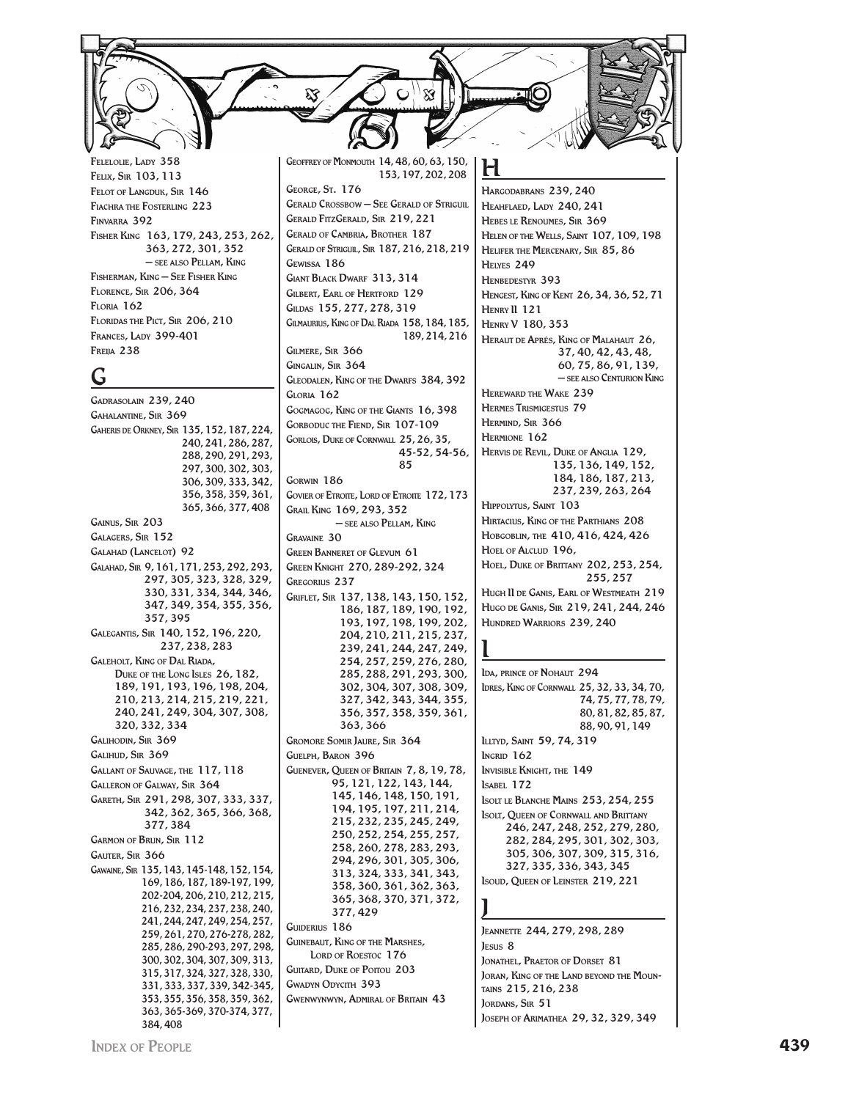FELELOLIE, LADY 358 FELIX, SIR 103, 113 FELOT OF LANGDUK, SIR 146 FIACHRA THE FOSTERLING 223 FINVARRA 392 FISHER KING 163, 179, 243, 253, 262, 363, 272, 301, 352  $-$  see also Pellam. King FISHERMAN, KING - SEE FISHER KING **FLORENCE, SIR 206, 364 FLORIA** 162 FLORIDAS THE PICT, SIR 206, 210 FRANCES, LADY 399-401 **FREILA** 238

### Ġ

GADRASOLAIN 239, 240 **GAHALANTINE, SIR 369** GAHERIS DE ORKNEY, SIR 135, 152, 187, 224, 240, 241, 286, 287, 288.290.291.293. 297, 300, 302, 303, 306, 309, 333, 342, 356, 358, 359, 361, 365, 366, 377, 408 GAINUS, SIR 203 GALAGERS, SIR 152 GALAHAD (LANCELOT) 92 GALAHAD, SIR 9, 161, 171, 253, 292, 293, 297, 305, 323, 328, 329, 330, 331, 334, 344, 346, 347, 349, 354, 355, 356, 357, 395 GALEGANTIS, SIR 140, 152, 196, 220, 237, 238, 283 **GALEHOLT, KING OF DAL RIADA,** DUKE OF THE LONG ISLES 26, 182, 189, 191, 193, 196, 198, 204, 210, 213, 214, 215, 219, 221, 240, 241, 249, 304, 307, 308, 320, 332, 334 GALIHODIN, SIR 369 GALIHUD, SIR 369 GALLANT OF SAUVAGE, THE 117, 118 GALLERON OF GALWAY, SIR 364 GARETH, SIR 291, 298, 307, 333, 337, 342, 362, 365, 366, 368, 377.384 **GARMON OF BRUN, SIR 112** GAUTER, SIR 366 GAWAINE, SIR 135, 143, 145-148, 152, 154, 169, 186, 187, 189-197, 199, 202-204, 206, 210, 212, 215, 216, 232, 234, 237, 238, 240, 241, 244, 247, 249, 254, 257, 259, 261, 270, 276-278, 282, 285, 286, 290-293, 297, 298, 300, 302, 304, 307, 309, 313, 315, 317, 324, 327, 328, 330, 331, 333, 337, 339, 342-345, 353.355.356.358.359.362. 363, 365-369, 370-374, 377, 384,408

GEOFFREY OF MONMOUTH 14, 48, 60, 63, 150, 153, 197, 202, 208 GEORGE, ST. 176 **GERALD CROSSBOW - SEE GERALD OF STRIGUIL GERALD FITZGERALD. SIR 219.221 GERALD OF CAMBRIA, BROTHER 187** GERALD OF STRIGUIL, SIR 187, 216, 218, 219 GEWISSA 186 **GIANT BLACK DWARF 313, 314 GILBERT. EARL OF HERTFORD 129** GILDAS 155, 277, 278, 319 Gilmaurius, King of Dal Riada 158, 184, 185, 189.214.216 GILMERE, SIR 366 GINGALIN, SIR 364 GLEODALEN, KING OF THE DWARFS 384, 392 GLORIA 162 GOGMAGOG, KING OF THE GIANTS 16, 398 **GORBODUC THE FIEND, SIR 107-109** GORLOIS, DUKE OF CORNWALL 25, 26, 35, 45-52, 54-56, 85 GORWIN 186 GOVIER OF ETROITE, LORD OF ETROITE 172, 173 GRAIL KING 169, 293, 352 - SEE ALSO PELLAM, KING  $C_{\text{PAVANNE}}$  30 **GREEN BANNERET OF GLEVUM 61** GREEN KNIGHT 270, 289-292, 324 **GREGORIUS 237** GRIFLET, SIR 137, 138, 143, 150, 152, 186, 187, 189, 190, 192, 193, 197, 198, 199, 202, 204, 210, 211, 215, 237, 239, 241, 244, 247, 249, 254, 257, 259, 276, 280, 285, 288, 291, 293, 300, 302, 304, 307, 308, 309, 327, 342, 343, 344, 355, 356, 357, 358, 359, 361, 363.366 **GROMORE SOMIR JAURE, SIR 364 GUELPH, BARON 396** GUENEVER, QUEEN OF BRITAIN 7, 8, 19, 78, 95, 121, 122, 143, 144, 145, 146, 148, 150, 191, 194, 195, 197, 211, 214, 215, 232, 235, 245, 249, 250, 252, 254, 255, 257, 258, 260, 278, 283, 293, 294, 296, 301, 305, 306, 313, 324, 333, 341, 343, 358, 360, 361, 362, 363, 365, 368, 370, 371, 372, 377.429 GUIDERIUS 186 **GUINEBAUT, KING OF THE MARSHES, LORD OF ROESTOC 176 GUITARD.** DUKE OF POITOU 203 **GWADYN ODYCITH 393 GWENWYNWYN, ADMIRAL OF BRITAIN 43** 

HARGODABRANS 239, 240 HEAHFLAED, LADY 240, 241 HEBES LE RENOUMES, SIR 369 HELEN OF THE WELLS, SAINT 107, 109, 198 HELIFER THE MERCENARY, SIR 85, 86 HELYES 249 HENBEDESTYR 393 HENGEST, KING OF KENT 26, 34, 36, 52, 71 HENRY II 121 **HENRY V 180, 353** HERAUT DE APRÉS. KING OF MALAHAUT 26. 37, 40, 42, 43, 48, 60.75.86.91.139. - SEE ALSO CENTURION KING HEREWARD THE WAKE 239 **HERMES TRISMIGESTUS 79** HERMIND, SIR 366 HERMIONE 162 HERVIS DE REVIL. DUKE OF ANGLIA 129. 135, 136, 149, 152, 184, 186, 187, 213, 237, 239, 263, 264 HIPPOLYTUS, SAINT 103 HIRTACIUS, KING OF THE PARTHIANS 208 Новсовим, тне 410, 416, 424, 426 HOEL OF ALCLUD 196, HOEL, DUKE OF BRITTANY 202, 253, 254, 255.257 HUGH II DE GANIS, EARL OF WESTMEATH 219 HUGO DE GANIS, SIR 219, 241, 244, 246 HUNDRED WARRIORS 239, 240 IDA, PRINCE OF NOHALIT 294 IDRES, KING OF CORNWALL 25, 32, 33, 34, 70, 74, 75, 77, 78, 79,  $80, 81, 82, 85, 87,$ 88, 90, 91, 149 ILLTYD, SAINT 59, 74, 319  $l<sub>NGRID</sub> 162$ **INVISIBLE KNIGHT, THE 149 ISABEL 172** 

**ISOLT LE BLANCHE MAINS 253, 254, 255 ISOLT, QUEEN OF CORNWALL AND BRITTANY** 246, 247, 248, 252, 279, 280, 282, 284, 295, 301, 302, 303, 305, 306, 307, 309, 315, 316, 327, 335, 336, 343, 345

### ISOUD, QUEEN OF LEINSTER 219, 221

JEANNETTE 244, 279, 298, 289 IESUS<sub>8</sub> JONATHEL, PRAETOR OF DORSET 81 **JORAN. KING OF THE LAND BEYOND THE MOUN-**TAINS 215, 216, 238 JORDANS, SIR 51 JOSEPH OF ARIMATHEA 29, 32, 329, 349

INDEX OF PEOPLE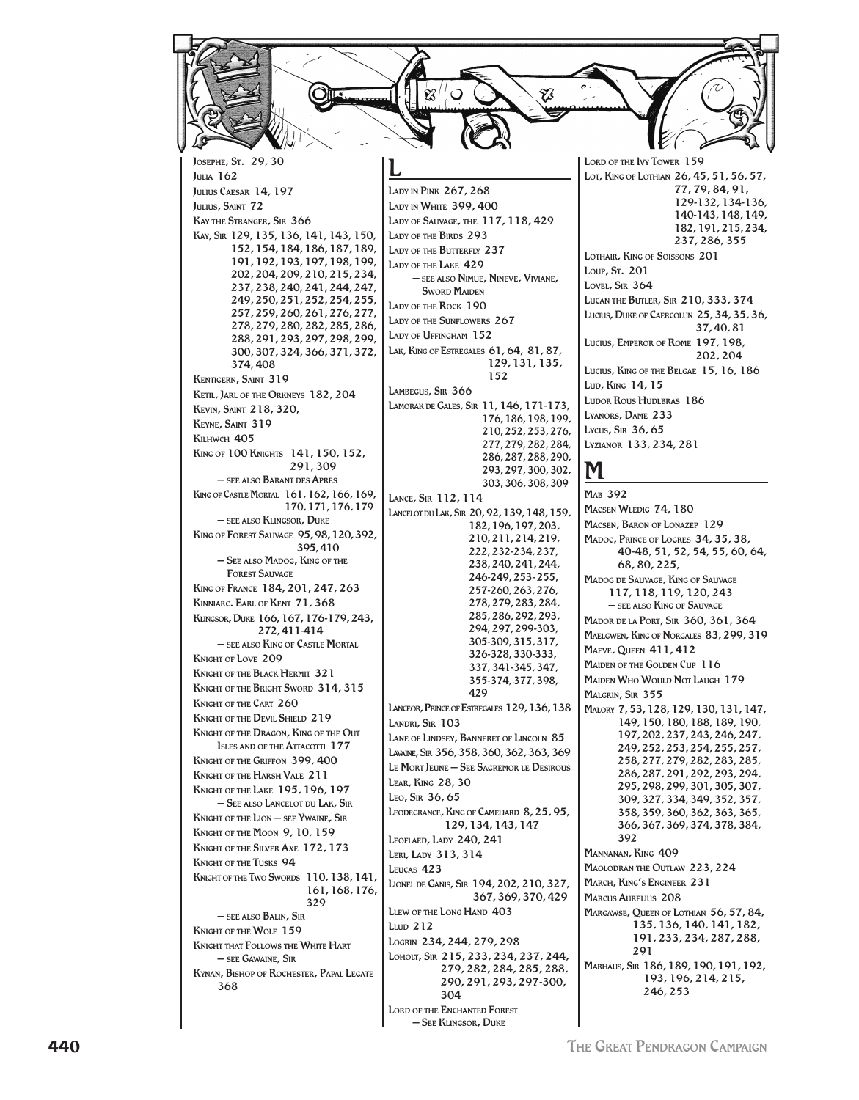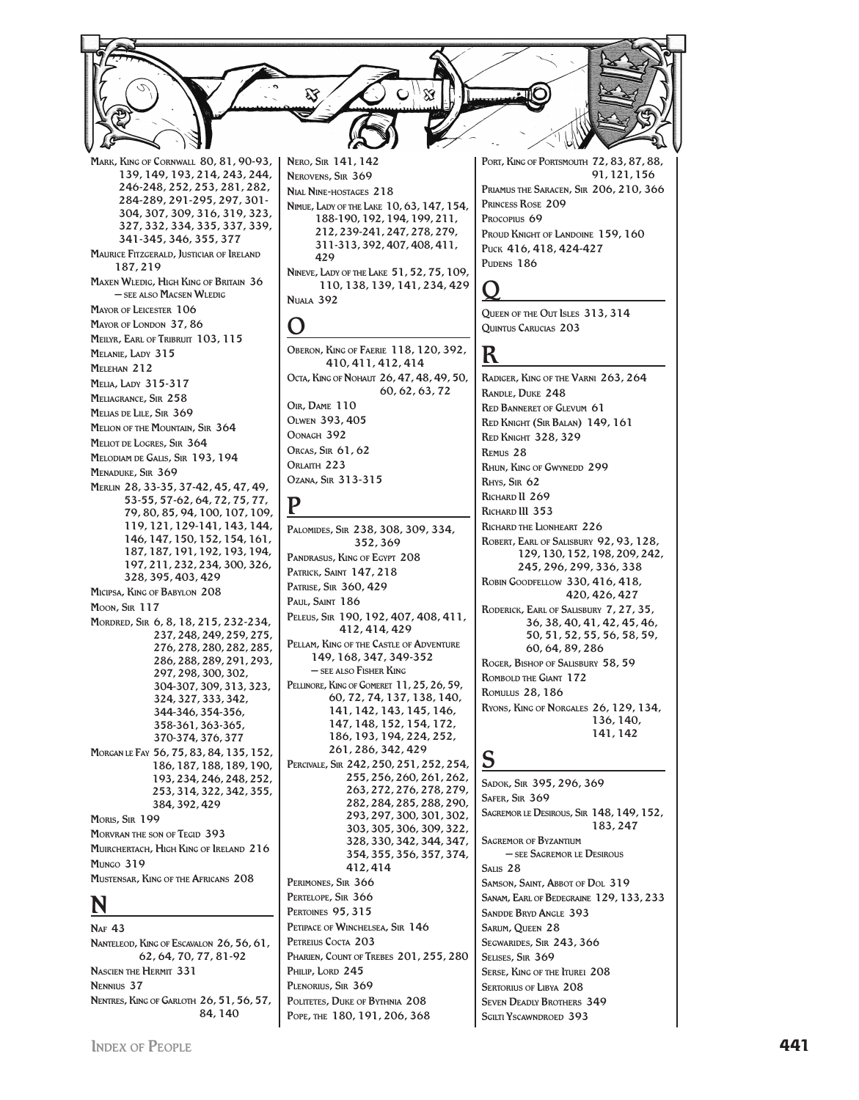Mark, King of Cornwall 80, 81, 90-93, 139, 149, 193, 214, 243, 244, 246-248, 252, 253, 281, 282, 284-289, 291-295, 297, 301- 304, 307, 309, 316, 319, 323, 327, 332, 334, 335, 337, 339, 341-345, 346, 355, 377 Maurice Fitzgerald, Justiciar of Ireland 187, 219 Maxen Wledig, High King of Britain 36 – see also Macsen Wledig Mayor of Leicester 106 MAYOR OF LONDON 37, 86 Meilyr, Earl of Tribruit 103, 115 Melanie, Lady 315 Melehan 212 Melia, Lady 315-317 Meliagrance, Sir 258 Melias de Lile, Sir 369 MELION OF THE MOUNTAIN, SIR 364 Meliot de Logres, Sir 364 Melodiam de Galis, Sir 193, 194 Menaduke, Sir 369 Merlin 28, 33-35, 37-42, 45, 47, 49, 53-55, 57-62, 64, 72, 75, 77, 79, 80, 85, 94, 100, 107, 109, 119, 121, 129-141, 143, 144, 146, 147, 150, 152, 154, 161, 187, 187, 191, 192, 193, 194, 197, 211, 232, 234, 300, 326, 328, 395, 403, 429 Micipsa, King of Babylon 208 Moon, Sir 117 Mordred, Sir 6, 8, 18, 215, 232-234, 237, 248, 249, 259, 275, 276, 278, 280, 282, 285, 286, 288, 289, 291, 293, 297, 298, 300, 302, 304-307, 309, 313, 323, 324, 327, 333, 342, 344-346, 354-356, 358-361, 363-365, 370-374, 376, 377 Morgan le Fay 56, 75, 83, 84, 135, 152, 186, 187, 188, 189, 190, 193, 234, 246, 248, 252, 253, 314, 322, 342, 355, 384, 392, 429 Moris, Sir 199 MORVRAN THE SON OF TEGID 393 Muirchertach, High King of Ireland 216  $M<sub>UNCO</sub>$  310 Mustensar, King of the Africans 208

### N

**NAF 43** Nanteleod, King of Escavalon 26, 56, 61, 62, 64, 70, 77, 81-92 Nascien the Hermit 331 Nennius 37 Nentres, King of Garloth 26, 51, 56, 57, 84, 140

Nero, Sir 141, 142 Nerovens, Sir 369 Nial Nine-hostages 218 Nimue, Lady of the Lake 10, 63, 147, 154, 188-190, 192, 194, 199, 211, 212, 239-241, 247, 278, 279, 311-313, 392, 407, 408, 411, 429 Nineve, Lady of the Lake 51, 52, 75, 109, 110, 138, 139, 141, 234, 429

# O

Nuala 392

Oberon, King of Faerie 118, 120, 392, 410, 411, 412, 414 Octa, King of Nohaut 26, 47, 48, 49, 50, 60, 62, 63, 72 Oir, Dame 110 Olwen 393, 405 Oonagh 392 Orcas, Sir 61, 62 ORLAITH 223 Ozana, Sir 313-315

### P

Palomides, Sir 238, 308, 309, 334, 352, 369 PANDRASUS, KING OF EGYPT 208 Patrick, Saint 147, 218 Patrise, Sir 360, 429 PAUL, SAINT 186 Peleus, Sir 190, 192, 407, 408, 411, 412, 414, 429 Pellam, King of the Castle of Adventure 149, 168, 347, 349-352 – see also Fisher King PELLINORE, KING OF GOMERET 11, 25, 26, 59, 60, 72, 74, 137, 138, 140, 141, 142, 143, 145, 146, 147, 148, 152, 154, 172, 186, 193, 194, 224, 252, 261, 286, 342, 429 Percivale, Sir 242, 250, 251, 252, 254, 255, 256, 260, 261, 262, 263, 272, 276, 278, 279, 282, 284, 285, 288, 290, 293, 297, 300, 301, 302, 303, 305, 306, 309, 322, 328, 330, 342, 344, 347, 354, 355, 356, 357, 374, 412, 414 PERIMONES, SIR 366 PERTELOPE, SIR 366 PERTOINES 95, 315 PETIPACE OF WINCHELSEA, SIR 146 PETREIUS COCTA 203 PHARIEN, COUNT OF TREBES 201, 255, 280 PHILIP, LORD 245 PLENORIUS, SIR 369 Politetes, Duke of Bythnia 208 Pope, the 180, 191, 206, 368

PORT, KING OF PORTSMOUTH 72, 83, 87, 88, 91, 121, 156 Priamus the Saracen, Sir 206, 210, 366 Princess Rose 209 PROCOPIUS 69 PROUD KNIGHT OF LANDOINE 159, 160 Puck 416, 418, 424-427 PUDENS 186

# $\pmb{\left( \ \right. }$

Queen of the Out Isles 313, 314 Quintus Carucias 203

### R

Radiger, King of the Varni 263, 264 Randle, Duke 248 Red Banneret of Glevum 61 Red Knight (Sir Balan) 149, 161 Red Knight 328, 329 Remus 28 Rhun, King of Gwynedd 299 Rhys, Sir 62 RICHARD II 269 Richard III 353 Richard the Lionheart 226 Robert, Earl of Salisbury 92, 93, 128, 129, 130, 152, 198, 209, 242, 245, 296, 299, 336, 338 Robin Goodfellow 330, 416, 418, 420, 426, 427 Roderick, Earl of Salisbury 7, 27, 35, 36, 38, 40, 41, 42, 45, 46, 50, 51, 52, 55, 56, 58, 59, 60, 64, 89, 286 Roger, Bishop of Salisbury 58, 59 Rombold the Giant 172 Romulus 28, 186 Ryons, King of Norgales 26, 129, 134, 136, 140, 141, 142

### S

Sadok, Sir 395, 296, 369 Safer, Sir 369 Sagremor le Desirous, Sir 148, 149, 152, 183, 247 Sagremor of Byzantium – see Sagremor le Desirous Salis 28 Samson, Saint, Abbot of Dol 319 Sanam, Earl of Bedegraine 129, 133, 233 Sandde Bryd Angle 393 Sarum, Queen 28 Segwarides, Sir 243, 366 Selises, Sir 369 Serse, King of the Iturei 208 SERTORIUS OF LIBYA 208 Seven Deadly Brothers 349 SGILTI YSCAWNDROED 393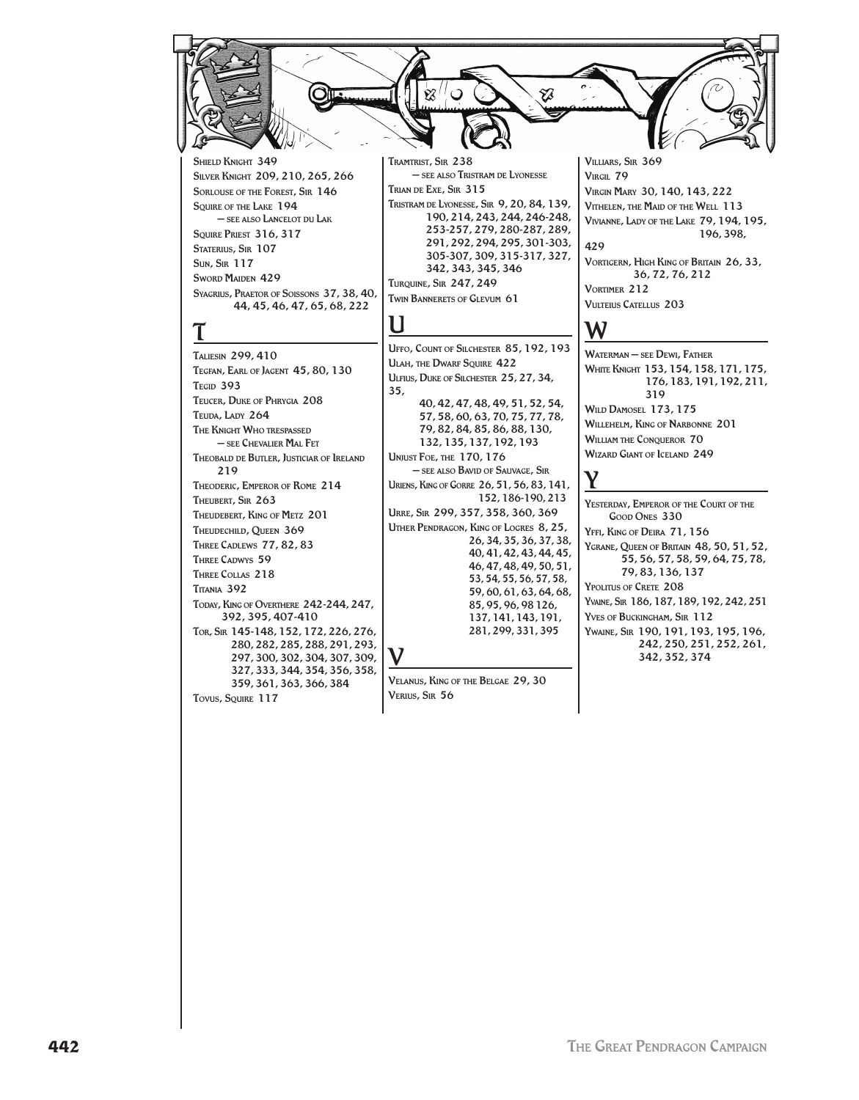YĀ

SHIELD KNIGHT 349 Silver Knight 209, 210, 265, 266 SORLOUSE OF THE FOREST, SIR 146 SOUIRE OF THE LAKE 194 – see also Lancelot du Lak Squire Priest 316, 317 STATERIUS, SIR 107 Sun, Sir 117 SWORD MAIDEN 429 Syagrius, Praetor of Soissons 37, 38, 40, 44, 45, 46, 47, 65, 68, 222

# $\mathbf I$

Taliesin 299, 410 Tegfan, Earl of Jagent 45, 80, 130 TEGID 393 Teucer, Duke of Phrygia 208 Teuda, Lady 264 The Knight Who trespassed – see Chevalier Mal Fet Theobald de Butler, Justiciar of Ireland 219 Theoderic, Emperor of Rome 214 Theubert, Sir 263 Theudebert, King of Metz 201 Theudechild, Queen 369 Three Cadlews 77, 82, 83 THREE CADWYS 59 Three Collas 218 Titania 392 Today, King of Overthere 242-244, 247, 392, 395, 407-410 Tor, Sir 145-148, 152, 172, 226, 276, 280, 282, 285, 288, 291, 293, 297, 300, 302, 304, 307, 309, 327, 333, 344, 354, 356, 358, 359, 361, 363, 366, 384 Tovus, Souire 117

Tramtrist, Sir 238 – see also Tristram de Lyonesse Trian de Exe, Sir 315 Tristram de Lyonesse, Sir 9, 20, 84, 139, 190, 214, 243, 244, 246-248, 253-257, 279, 280-287, 289, 291, 292, 294, 295, 301-303, 305-307, 309, 315-317, 327, 342, 343, 345, 346 Turquine, Sir 247, 249 Twin Bannerets of Glevum 61

### U

V

Uffo, Count of Silchester 85, 192, 193 ULAH, THE DWARF SQUIRE 422 Ulfius, Duke of Silchester 25, 27, 34, 35, 40, 42, 47, 48, 49, 51, 52, 54, 57, 58, 60, 63, 70, 75, 77, 78,

79, 82, 84, 85, 86, 88, 130, 132, 135, 137, 192, 193 Unjust Foe, the 170, 176 – see also Bavid of Sauvage, Sir Uriens, King of Gorre 26, 51, 56, 83, 141, 152, 186-190, 213 Urre, Sir 299, 357, 358, 360, 369 Uther Pendragon, King of Logres 8, 25, 26, 34, 35, 36, 37, 38, 40, 41, 42, 43, 44, 45, 46, 47, 48, 49, 50, 51, 53, 54, 55, 56, 57, 58, 59, 60, 61, 63, 64, 68, 85, 95, 96, 98 126, 137, 141, 143, 191, 281, 299, 331, 395

Velanus, King of the Belgae 29, 30 Verius, Sir 56

Villiars, Sir 369 VIRGIL 79 Virgin Mary 30, 140, 143, 222 Vithelen, the Maid of the Well 113 Vivianne, Lady of the Lake 79, 194, 195, 196, 398, 429 VORTIGERN, HIGH KING OF BRITAIN 26, 33, 36, 72, 76, 212

Vortimer 212 Vulteius Catellus 203

# W

Waterman – see Dewi, Father White Knight 153, 154, 158, 171, 175, 176, 183, 191, 192, 211, 319 Wild Damosel 173, 175 Willehelm, King of Narbonne 201 WILLIAM THE CONQUEROR 70 Wizard Giant of Iceland 249

# Y

Yesterday, Emperor of the Court of the Good Ones 330 Yffi, King of Deira 71, 156 YGRANE, QUEEN OF BRITAIN 48, 50, 51, 52, 55, 56, 57, 58, 59, 64, 75, 78, 79, 83, 136, 137 Ypolitus of Crete 208 Yvaine, Sir 186, 187, 189, 192, 242, 251 Yves of Buckingham, Sir 112 Ywaine, Sir 190, 191, 193, 195, 196, 242, 250, 251, 252, 261, 342, 352, 374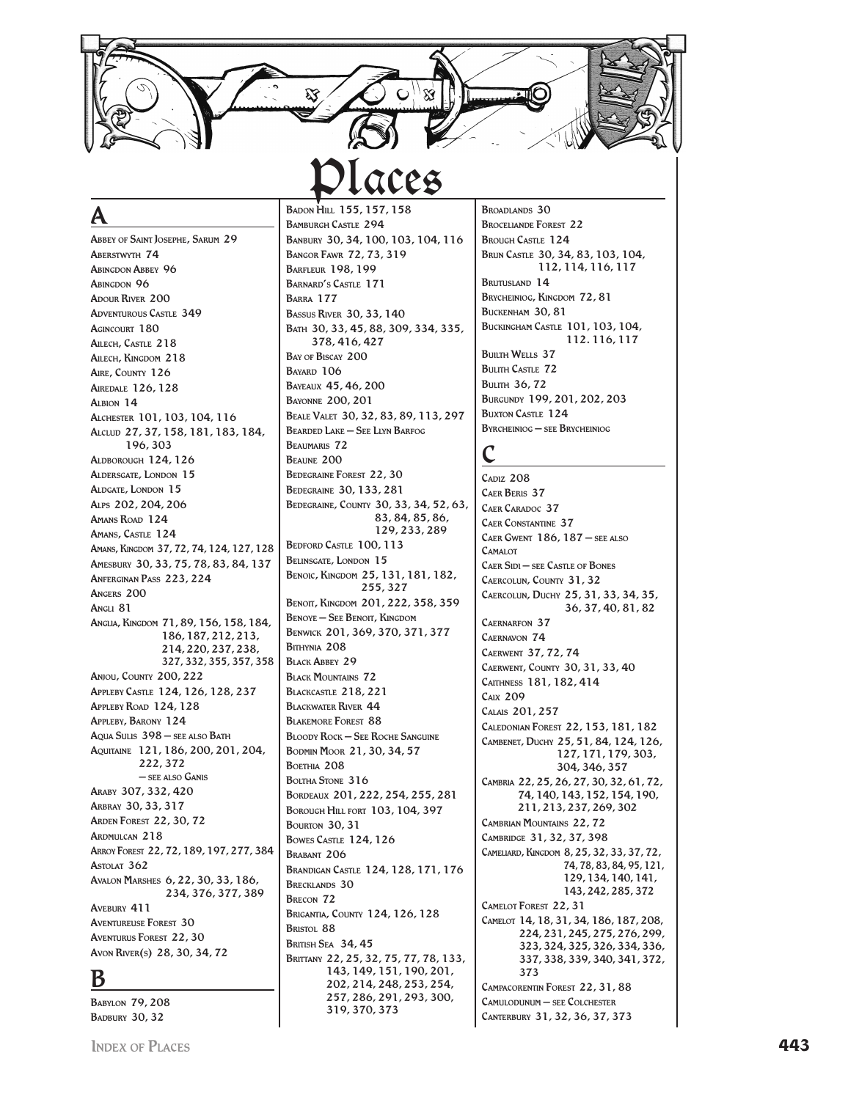**Places**

### A

Abbey of Saint Josephe, Sarum 29 ABERSTWYTH 74 ABINGDON ABBEY 96 ABINGDON 96 **ADOUR RIVER 200** ADVENTUROUS CASTLE 349 AGINCOURT 180 Ailech, Castle 218 Ailech, Kingdom 218 AIRE, COUNTY 126 Airedale 126, 128  $A$ <sub>1</sub> RION  $14$ Alchester 101, 103, 104, 116 Alclud 27, 37, 158, 181, 183, 184, 196, 303 Aldborough 124, 126 Aldersgate, London 15 Aldgate, London 15 Alps 202, 204, 206 AMANS ROAD 124 AMANS, CASTLE 124 Amans, Kingdom 37, 72, 74, 124, 127, 128 Amesbury 30, 33, 75, 78, 83, 84, 137 Anferginan Pass 223, 224 Angers 200 Angli 81 Anglia, Kingdom 71, 89, 156, 158, 184, 186, 187, 212, 213, 214, 220, 237, 238, 327, 332, 355, 357, 358 Anjou, County 200, 222 Appleby Castle 124, 126, 128, 237 Appleby Road 124, 128 Appleby, Barony 124 Aqua Sulis 398 – see also Bath Aquitaine 121, 186, 200, 201, 204, 222, 372 – see also Ganis Araby 307, 332, 420 Arbray 30, 33, 317 Arden Forest 22, 30, 72 Ardmulcan 218 Arroy Forest 22, 72, 189, 197, 277, 384 ASTOLAT 362 Avalon Marshes 6, 22, 30, 33, 186, 234, 376, 377, 389 AVEBURY 411 Aventureuse Forest 30 Aventurus Forest 22, 30 Avon River(s) 28, 30, 34, 72

### B

Babylon 79, 208 **BADBURY 30, 32** 

BADON HILL 155, 157, 158 Bamburgh Castle 294 Banbury 30, 34, 100, 103, 104, 116 Bangor Fawr 72, 73, 319 Barfleur 198, 199 Barnard's Castle 171 Barra 177 Bassus River 30, 33, 140 Bath 30, 33, 45, 88, 309, 334, 335, 378, 416, 427 BAY OF BISCAY 200 BAVARD 106 Bayeaux 45, 46, 200 Bayonne 200, 201 Beale Valet 30, 32, 83, 89, 113, 297 Bearded Lake – See Llyn Barfog Beaumaris 72 Beaune 200 Bedegraine Forest 22, 30 Bedegraine 30, 133, 281 Bedegraine, County 30, 33, 34, 52, 63, 83, 84, 85, 86, 129, 233, 289 BEDFORD CASTLE 100, 113 Belinsgate, London 15 Benoic, Kingdom 25, 131, 181, 182, 255, 327 BENOIT, KINGDOM 201, 222, 358, 359 BENOYE – SEE BENOIT, KINGDOM Benwick 201, 369, 370, 371, 377 Bithynia 208 **BLACK ABBEY 29** Black Mountains 72 Blackcastle 218, 221 Blackwater River 44 Blakemore Forest 88 Bloody Rock – See Roche Sanguine Bodmin Moor 21, 30, 34, 57 BOETHIA 208 BOLTHA STONE 316 Bordeaux 201, 222, 254, 255, 281 **BOROUGH HILL FORT 103, 104, 397 BOURTON 30, 31 BOWES CASTLE 124, 126** BRABANT 206 Brandigan Castle 124, 128, 171, 176 BRECKLANDS 30 Brecon 72 Brigantia, County 124, 126, 128 BRISTOL 88 **BRITISH SEA 34, 45** Brittany 22, 25, 32, 75, 77, 78, 133, 143, 149, 151, 190, 201,

> 202, 214, 248, 253, 254, 257, 286, 291, 293, 300,

319, 370, 373

BROADLANDS 30 Broceliande Forest 22 BROUGH CASTLE 124 Brun Castle 30, 34, 83, 103, 104, 112, 114, 116, 117 BRUTUSLAND 14 Brycheiniog, Kingdom 72, 81 BUCKENHAM 30, 81 Buckingham Castle 101, 103, 104, 112. 116, 117 **BUILTH WELLS 37 BULITH CASTLE 72 BULITH 36.72** Burgundy 199, 201, 202, 203 **BUXTON CASTLE 124** Byrcheiniog – see Brycheiniog

### C

C<sub>ADIZ</sub> 208 Caer Beris 37 CAER CARADOC 37 Caer Constantine 37 Caer Gwent 186, 187 – see also **CAMALOT** Caer Sidi – see Castle of Bones Caercolun, County 31, 32 Caercolun, Duchy 25, 31, 33, 34, 35, 36, 37, 40, 81, 82 Caernarfon 37 Caernavon 74 Caerwent 37, 72, 74 Caerwent, County 30, 31, 33, 40 Caithness 181, 182, 414 Caix 209 Calais 201, 257 Caledonian Forest 22, 153, 181, 182 Cambenet, Duchy 25, 51, 84, 124, 126, 127, 171, 179, 303, 304, 346, 357 Cambria 22, 25, 26, 27, 30, 32, 61, 72, 74, 140, 143, 152, 154, 190, 211, 213, 237, 269, 302 CAMBRIAN MOUNTAINS 22, 72 Cambridge 31, 32, 37, 398 Cameliard, Kingdom 8, 25, 32, 33, 37, 72, 74, 78, 83, 84, 95, 121, 129, 134, 140, 141, 143, 242, 285, 372 Camelot Forest 22, 31 Camelot 14, 18, 31, 34, 186, 187, 208, 224, 231, 245, 275, 276, 299, 323, 324, 325, 326, 334, 336, 337, 338, 339, 340, 341, 372, 373 Campacorentin Forest 22, 31, 88 Camulodunum – see Colchester Canterbury 31, 32, 36, 37, 373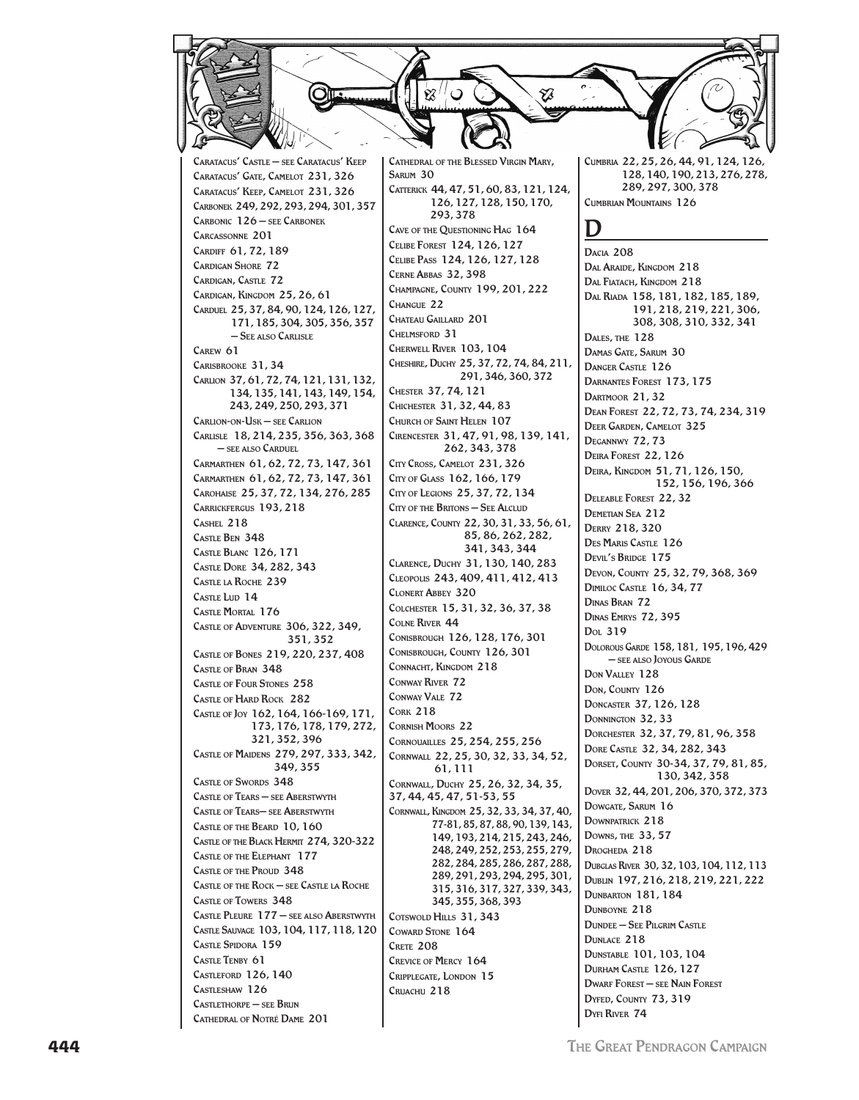

Caratacus' Castle – see Caratacus' Keep Caratacus' Gate, Camelot 231, 326 Caratacus' Keep, Camelot 231, 326 Carbonek 249, 292, 293, 294, 301, 357 Carbonic 126 – see Carbonek Carcassonne 201 Cardiff 61, 72, 189 Cardigan Shore 72 Cardigan, Castle 72 Cardigan, Kingdom 25, 26, 61 Carduel 25, 37, 84, 90, 124, 126, 127, 171, 185, 304, 305, 356, 357 – See also Carlisle Carew 61 Carisbrooke 31, 34 Carlion 37, 61, 72, 74, 121, 131, 132, 134, 135, 141, 143, 149, 154, 243, 249, 250, 293, 371 Carlion-on-Usk – see Carlion Carlisle 18, 214, 235, 356, 363, 368 – see also Carduel Carmarthen 61, 62, 72, 73, 147, 361 Carmarthen 61, 62, 72, 73, 147, 361 Carohaise 25, 37, 72, 134, 276, 285 Carrickfergus 193, 218 Cashel 218  $C_{\text{ACTE}}$  BEN 348 Castle Blanc 126, 171 Castle Dore 34, 282, 343 Castle la Roche 239 CASTLE LUD 14 Castle Mortal 176 Castle of Adventure 306, 322, 349, 351, 352 Castle of Bones 219, 220, 237, 408 Castle of Bran 348 Castle of Four Stones 258 Castle of Hard Rock 282 Castle of Joy 162, 164, 166-169, 171, 173, 176, 178, 179, 272, 321, 352, 396 Castle of Maidens 279, 297, 333, 342, 349, 355 CASTLE OF SWORDS 348 Castle of Tears – see Aberstwyth Castle of Tears– see Aberstwyth Castle of the Beard 10, 160 Castle of the Black Hermit 274, 320-322 Castle of the Elephant 177 CASTLE OF THE PROUD 348 Castle of the Rock – see Castle la Roche Castle of Towers 348 Castle Pleure 177 – see also Aberstwyth Castle Sauvage 103, 104, 117, 118, 120 CASTLE SPIDORA 159 Castle Tenby 61  $C<sub>ASTI</sub>$  EFORD 126, 140 Castleshaw 126 Castlethorpe – see Brun Cathedral of Notré Dame 201

Cathedral of the Blessed Virgin Mary, Sarum 30 Catterick 44, 47, 51, 60, 83, 121, 124, 126, 127, 128, 150, 170, 293, 378 Cave of the Questioning Hag 164 Celibe Forest 124, 126, 127 Celibe Pass 124, 126, 127, 128 Cerne Abbas 32, 398 Champagne, County 199, 201, 222 Changue 22 Chateau Gaillard 201 Chelmsford 31 Cherwell River 103, 104 Cheshire, Duchy 25, 37, 72, 74, 84, 211, 291, 346, 360, 372 Chester 37, 74, 121 Chichester 31, 32, 44, 83 Church of Saint Helen 107 Cirencester 31, 47, 91, 98, 139, 141, 262, 343, 378 City Cross, Camelot 231, 326 City of Glass 162, 166, 179 City of Legions 25, 37, 72, 134 CITY OF THE BRITONS – SEE ALCLUD Clarence, County 22, 30, 31, 33, 56, 61, 85, 86, 262, 282, 341, 343, 344 Clarence, Duchy 31, 130, 140, 283 Cleopolis 243, 409, 411, 412, 413 Clonert Abbey 320 Colchester 15, 31, 32, 36, 37, 38 Colne River 44 Conisbrough 126, 128, 176, 301 Conisbrough, County 126, 301 Connacht, Kingdom 218 Conway River 72 Conway Vale 72 Cork 218 Cornish Moors 22 Cornouailles 25, 254, 255, 256 Cornwall 22, 25, 30, 32, 33, 34, 52, 61, 111 Cornwall, Duchy 25, 26, 32, 34, 35, 37, 44, 45, 47, 51-53, 55 Cornwall, Kingdom 25, 32, 33, 34, 37, 40, 77-81, 85, 87, 88, 90, 139, 143, 149, 193, 214, 215, 243, 246, 248, 249, 252, 253, 255, 279, 282, 284, 285, 286, 287, 288, 289, 291, 293, 294, 295, 301, 315, 316, 317, 327, 339, 343, 345, 355, 368, 393 COTSWOLD HILLS 31, 343 COWARD STONE 164 CRETE 208 Crevice of Mercy 164 Cripplegate, London 15 Cruachu 218

Cumbria 22, 25, 26, 44, 91, 124, 126, 128, 140, 190, 213, 276, 278, 289, 297, 300, 378 Cumbrian Mountains 126

### D

Dacia 208 Dal Araide, Kingdom 218 Dal Fiatach, Kingdom 218 Dal Riada 158, 181, 182, 185, 189, 191, 218, 219, 221, 306, 308, 308, 310, 332, 341 Dales, the 128 Damas Gate, Sarum 30 Danger Castle 126 Darnantes Forest 173, 175 Dartmoor 21, 32 Dean Forest 22, 72, 73, 74, 234, 319 Deer Garden, Camelot 325 Degannwy 72, 73 Deira Forest 22, 126 Deira, Kingdom 51, 71, 126, 150, 152, 156, 196, 366 Deleable Forest 22, 32 Demetian Sea 212 Derry 218, 320 Des Maris Castle 126 Devil's Bridge 175 Devon, County 25, 32, 79, 368, 369 Dimiloc Castle 16, 34, 77 Dinas Bran 72 Dinas Emrys 72, 395 Dol 319 Dolorous Garde 158, 181, 195, 196, 429 – see also Joyous Garde Don Valley 128 Don, County 126 Doncaster 37, 126, 128 Donnington 32, 33 Dorchester 32, 37, 79, 81, 96, 358 Dore Castle 32, 34, 282, 343 Dorset, County 30-34, 37, 79, 81, 85, 130, 342, 358 Dover 32, 44, 201, 206, 370, 372, 373 DOWGATE, SARUM 16 Downpatrick 218 Downs, the 33, 57 Drogheda 218 Dubglas River 30, 32, 103, 104, 112, 113 Dublin 197, 216, 218, 219, 221, 222 DUNBARTON 181, 184 DUNBOYNE 218 Dundee – See Pilgrim Castle DUNLACE 218 Dunstable 101, 103, 104 Durham Castle 126, 127 Dwarf Forest – see Nain Forest DYFED, COUNTY 73, 319 Dyfi River 74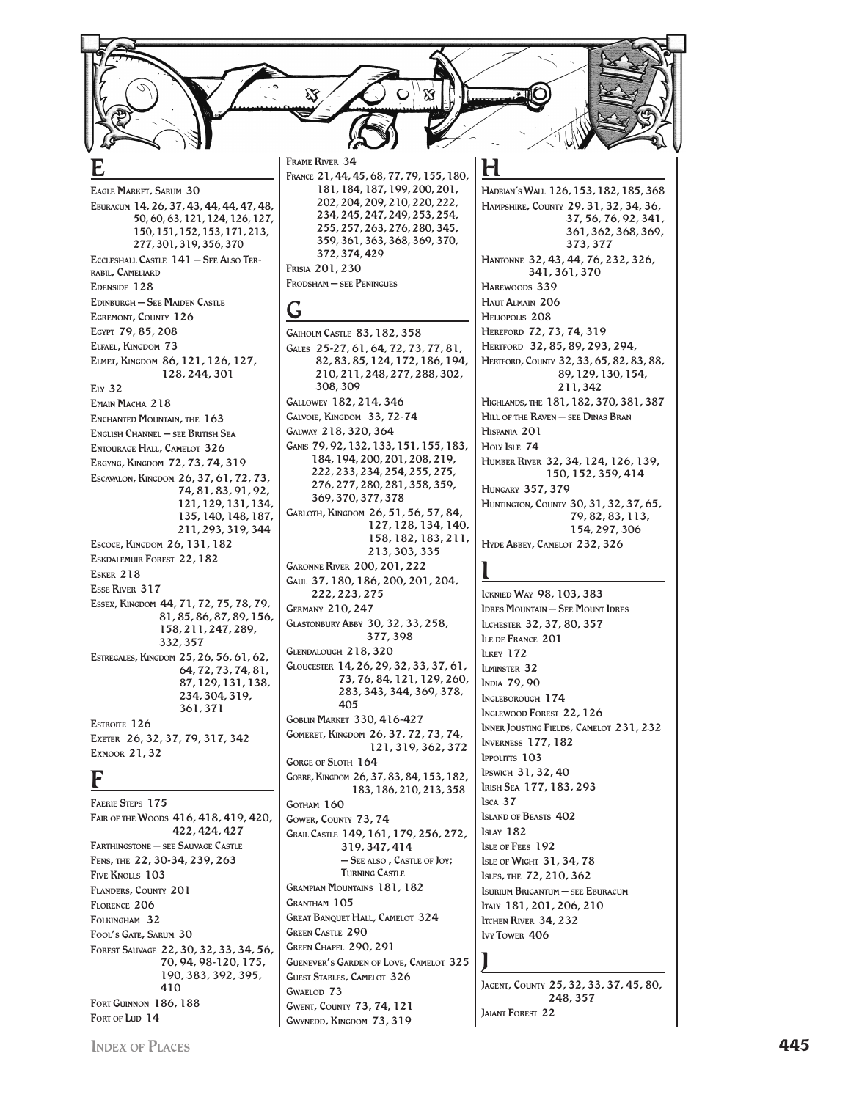FRAME RIVER 34 FRANCE 21, 44, 45, 68, 77, 79, 155, 180, EAGLE MARKET, SARUM 30 EBURACUM 14, 26, 37, 43, 44, 44, 47, 48, 50.60.63.121.124.126.127. 150, 151, 152, 153, 171, 213, 277, 301, 319, 356, 370 ECCLESHALL CASTLE 141 - SEE ALSO TER-RABIL, CAMELIARD EDENSIDE 128 **EDINBURGH - SEE MAIDEN CASTLE** Ġ EGREMONT, COUNTY 126 EGYPT 79, 85, 208 ELFAEL, KINGDOM 73 ELMET, KINGDOM 86, 121, 126, 127, 128.244.301  $E<sub>1Y</sub>$  32 EMAIN MACHA 218 ENCHANTED MOUNTAIN, THE 163 ENGLISH CHANNEL - SEE BRITISH SEA **ENTOURAGE HALL, CAMELOT 326** ERGYNG, KINGDOM 72, 73, 74, 319 ESCAVALON, KINGDOM 26, 37, 61, 72, 73, 74, 81, 83, 91, 92, 121, 129, 131, 134, 135, 140, 148, 187, 211, 293, 319, 344 ESCOCE, KINGDOM 26, 131, 182 ESKDALEMUR FOREST 22.182 **ESKER 218** Feet Raren 317 ESSEX, KINGDOM 44, 71, 72, 75, 78, 79, 81, 85, 86, 87, 89, 156, 158, 211, 247, 289, 332.357 ESTREGALES, KINGDOM 25, 26, 56, 61, 62, 64, 72, 73, 74, 81, 87, 129, 131, 138, 234, 304, 319, 361.371 ESTROITE 126 EXETER 26, 32, 37, 79, 317, 342 EXMOOR 21, 32 F **FAERIE STEPS 175** FAIR OF THE WOODS 416, 418, 419, 420, 422, 424, 427 FARTHINGSTONE - SEE SAUVAGE CASTLE FENS, THE 22, 30-34, 239, 263 FIVE KNOUS 103 FLANDERS, COUNTY 201 FLORENCE 206 FOLKINGHAM 32

372, 374, 429 FRISIA 201.230 FRODSHAM - SEE PENINGUES **GAIHOLM CASTLE 83, 182, 358** GALES 25-27, 61, 64, 72, 73, 77, 81, 82.83.85.124.172.186.194. 210, 211, 248, 277, 288, 302, 308.309 GALLOWEY 182, 214, 346 GALVOIE, KINGDOM 33, 72-74 GALWAY 218, 320, 364 GANIS 79, 92, 132, 133, 151, 155, 183, 184, 194, 200, 201, 208, 219, 222, 233, 234, 254, 255, 275, 276, 277, 280, 281, 358, 359, 369, 370, 377, 378 GARLOTH, KINGDOM 26, 51, 56, 57, 84, 127, 128, 134, 140, 158, 182, 183, 211, 213.303.335 **GARONNE RIVER 200.201.222** GAUL 37, 180, 186, 200, 201, 204, 222, 223, 275 **GERMANY 210.247** GLASTONBURY ABBY 30, 32, 33, 258, 377,398 GLENDALOUGH 218, 320 **LKEY 172** GLOUCESTER 14, 26, 29, 32, 33, 37, 61, **ILMINSTER 32** 73.76.84.121.129.260. 283, 343, 344, 369, 378,  $405$ **GOBLIN MARKET 330, 416-427** GOMERET, KINGDOM 26, 37, 72, 73, 74, 121, 319, 362, 372 GORGE OF SLOTH 164 GORRE, KINGDOM 26, 37, 83, 84, 153, 182, 183, 186, 210, 213, 358  $Isca$  37 GOTHAM 160 GOWER COUNTY 73.74 **ISLAY 182** GRAIL CASTLE 149, 161, 179, 256, 272, 319, 347, 414 - SEE ALSO, CASTLE OF JOY; THENING CASTLE **GRAMPIAN MOUNTAINS 181, 182 GRANTHAM 105 GREAT BANQUET HALL, CAMELOT 324** ITCHEN RIVER 34, 232 **GREEN CASTLE 290 IVY TOWER 406** GREEN CHAPEL 290, 291 **GUENEVER'S GARDEN OF LOVE, CAMELOT 325 GUEST STABLES, CAMELOT 326**  $G_{WAF1}$  on 73 **GWENT, COUNTY 73, 74, 121** GWYNEDD, KINGDOM 73, 319

181, 184, 187, 199, 200, 201,

202, 204, 209, 210, 220, 222,

234, 245, 247, 249, 253, 254,

255, 257, 263, 276, 280, 345,

359, 361, 363, 368, 369, 370,

HADRIAN'S WALL 126, 153, 182, 185, 368 HAMPSHIRE, COUNTY 29, 31, 32, 34, 36, 37, 56, 76, 92, 341, 361, 362, 368, 369, 373, 377 HANTONNE 32, 43, 44, 76, 232, 326, 341, 361, 370 HAREWOODS 339 HAUT ALMAIN 206 HELIOPOLIS<sub>208</sub> HEREFORD 72, 73, 74, 319 HERTFORD 32, 85, 89, 293, 294, HERTFORD, COUNTY 32, 33, 65, 82, 83, 88, 89, 129, 130, 154, 211 342 HIGHLANDS, THE 181, 182, 370, 381, 387 HILL OF THE RAVEN - SEE DINAS BRAN HISPANIA 201 HOLY ISLE 74 HUMBER RIVER 32, 34, 124, 126, 139, 150, 152, 359, 414 **HUNGARY 357, 379** HUNTINGTON, COUNTY 30, 31, 32, 37, 65, 79, 82, 83, 113, 154, 297, 306 HYDE ABBEY, CAMELOT 232, 326 ICKNIED WAY 98, 103, 383 **IDRES MOUNTAIN - SEE MOUNT IDRES** ILCHESTER 32, 37, 80, 357 LE DE FRANCE 201 **INDIA 79,90** INGLEBOROUGH 174 **INGLEWOOD FOREST 22, 126** INNER JOUSTING FIELDS, CAMELOT 231, 232 **INVERNESS 177.182 IPPOLITTS 103** IPSWICH 31, 32, 40 IRISH SEA 177, 183, 293 **ISLAND OF BEASTS 402** ISLE OF FEES 192 **ISLE OF WIGHT 31, 34, 78** ISLES, THE 72, 210, 362 **ISURIUM BRIGANTUM - SEE EBURACUM** ITALY 181, 201, 206, 210

JAGENT, COUNTY 25, 32, 33, 37, 45, 80, 248.357 **JAIANT FOREST 22** 

FORT GUINNON 186, 188

 $Fourier$ lun 14

FOOL'S GATE, SARUM 30

FOREST SAUVAGE 22, 30, 32, 33, 34, 56,

 $410$ 

70, 94, 98-120, 175,

190, 383, 392, 395,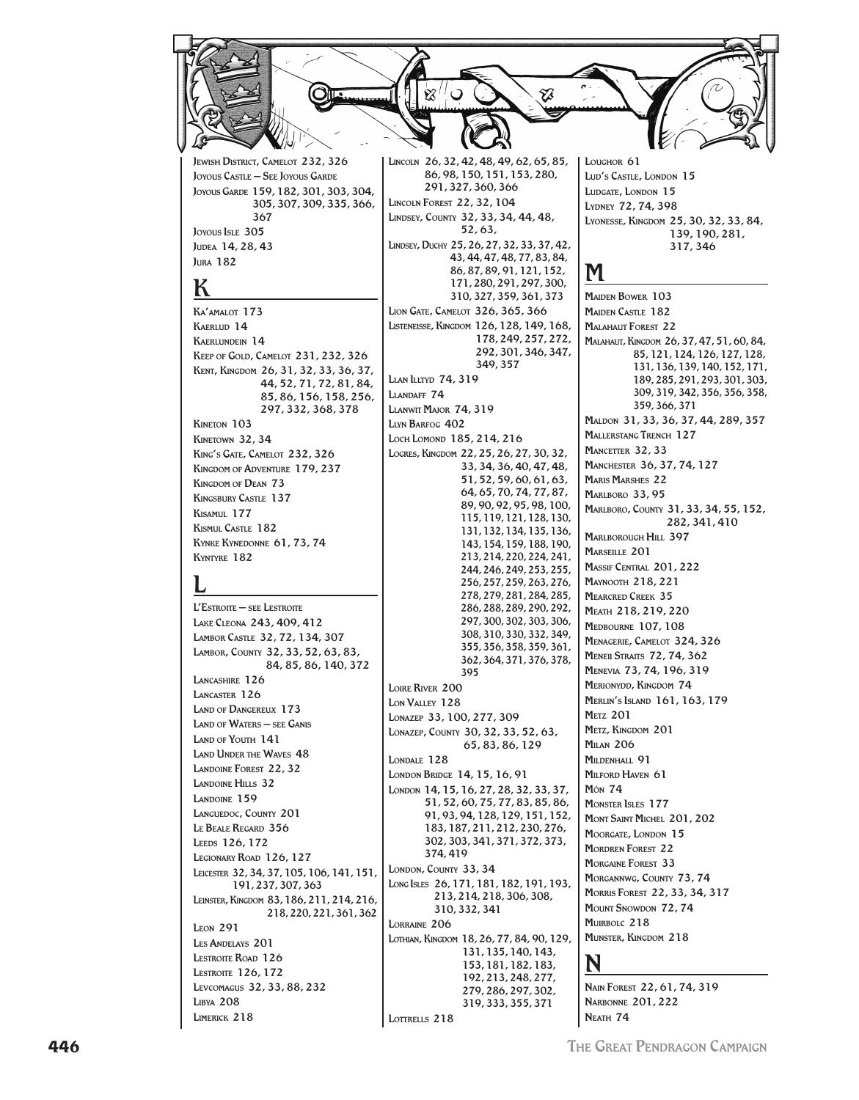JEWISH DISTRICT, CAMELOT 232, 326 JOYOUS CASTLE - SEE JOYOUS GARDE JOYOUS GARDE 159, 182, 301, 303, 304, 305, 307, 309, 335, 366, 367 loyous Iste 305 JUDEA 14, 28, 43 **IURA** 182

# К

KA'AMALOT 173 KAERLID<sub>14</sub> **KAERLUNDEIN 14** KEEP OF GOLD, CAMELOT 231, 232, 326 KENT, KINGDOM 26, 31, 32, 33, 36, 37, 44, 52, 71, 72, 81, 84, 85, 86, 156, 158, 256, 297.332.368.378 KINETON 103 KINETOWN 32, 34 KING'S GATE, CAMELOT 232, 326 KINGDOM OF ADVENTURE 179, 237 KINGDOM OF DEAN 73 **KINGSBURY CASTLE 137** KISAMUL 177 KISMIII. CASTLE 182 KYNKE KYNEDONNE 61, 73, 74 KYNTYRE 182

 $l$ Estroite — see Lestroite LAKE CLEONA 243, 409, 412 LAMBOR CASTLE 32, 72, 134, 307 LAMBOR, COUNTY 32, 33, 52, 63, 83, 84, 85, 86, 140, 372 LANCASHIRE 126 LANCASTER 126 **LAND OF DANGERELLY 173 LAND OF WATERS - SEE GANIS** LAND OF YOUTH 141 **LAND UNDER THE WAVES 48 LANDOINE FOREST 22, 32 LANDOINE HILLS 32** LANDOINE 159 LANGUEDOC, COUNTY 201 LE BEALE REGARD 356 LEEDS 126, 172 LEGIONARY ROAD 126, 127 LEICESTER 32, 34, 37, 105, 106, 141, 151, 191, 237, 307, 363 LEINSTER, KINGDOM 83, 186, 211, 214, 216, 218.220.221.361.362 **LEON 291** LES ANDELAYS 201 **LESTROITE ROAD 126 LESTROITE 126, 172** LEVCOMAGUS 32, 33, 88, 232 **LIBYA 208** LIMERICK 218

86, 98, 150, 151, 153, 280, 291, 327, 360, 366 **LINCOLN FOREST 22, 32, 104** LINDSEY, COUNTY 32, 33, 34, 44, 48, 52.63. LINDSEY, DUCHY 25, 26, 27, 32, 33, 37, 42, 43, 44, 47, 48, 77, 83, 84, 86, 87, 89, 91, 121, 152, 171.280.291.297.300. 310, 327, 359, 361, 373 LION GATE, CAMELOT 326, 365, 366 LISTENEISSE, KINGDOM 126, 128, 149, 168, 178.249.257.272. 292, 301, 346, 347, 349.357 **LLAN LLITYD 74, 319** LIANDAFF 74 LLANWIT MAJOR 74, 319 **LIVN BARFOG 402** LOCH LOMOND 185, 214, 216 LOGRES, KINGDOM 22, 25, 26, 27, 30, 32, 33, 34, 36, 40, 47, 48, 51, 52, 59, 60, 61, 63, 64, 65, 70, 74, 77, 87, 89, 90, 92, 95, 98, 100, 115.119.121.128.130. 131, 132, 134, 135, 136, 143, 154, 159, 188, 190, 213, 214, 220, 224, 241, 244.246.249.253.255. 256, 257, 259, 263, 276, 278.279.281.284.285. 286.288.289.290.292. 297, 300, 302, 303, 306, 308, 310, 330, 332, 349, 355.356.358.359.361. 362, 364, 371, 376, 378, 395 **LOIRE RIVER 200**  $1<sub>ON</sub>$ V<sub>ALLEV</sub> 128 LONAZEP 33, 100, 277, 309 LONAZEP, COUNTY 30, 32, 33, 52, 63, 65, 83, 86, 129 LONDALE 128 LONDON BRIDGE 14, 15, 16, 91 LONDON 14, 15, 16, 27, 28, 32, 33, 37, 51, 52, 60, 75, 77, 83, 85, 86, 91, 93, 94, 128, 129, 151, 152, 183, 187, 211, 212, 230, 276, 302, 303, 341, 371, 372, 373, 374.419 LONDON, COUNTY 33, 34 LONG ISLES 26, 171, 181, 182, 191, 193, 213, 214, 218, 306, 308, 310, 332, 341 LORRAINE 206 LOTHIAN, KINGDOM 18, 26, 77, 84, 90, 129, 131, 135, 140, 143, 153, 181, 182, 183, 192, 213, 248, 277, 279, 286, 297, 302, 319, 333, 355, 371 LOTTRELLS 218

LOUGHOR<sub>61</sub> LUD'S CASTLE, LONDON 15 LUDGATE, LONDON 15 LYDNEY 72, 74, 398 LYONESSE, KINGDOM 25, 30, 32, 33, 84, 139, 190, 281, 317,346

Ø

LINCOLN 26, 32, 42, 48, 49, 62, 65, 85,

**MAIDEN BOWER 103 MAIDEN CASTLE 182** MALAHAUT FOREST 22 MALAHAUT, KINGDOM 26, 37, 47, 51, 60, 84, 85, 121, 124, 126, 127, 128, 131, 136, 139, 140, 152, 171, 189, 285, 291, 293, 301, 303, 309, 319, 342, 356, 356, 358, 359, 366, 371 MALDON 31, 33, 36, 37, 44, 289, 357 **MALLERSTANG TRENCH 127** MANCETTER 32, 33 MANCHESTER 36, 37, 74, 127 **MARIS MARSHES 22** MARLBORO 33, 95 MARLBORO, COUNTY 31, 33, 34, 55, 152, 282.341.410 MARLBOROUGH HILL 397 MARSEILLE 201 MASSIF CENTRAL 201, 222 **MAYNOOTH 218, 221 MEARCRED CREEK 35** MEATH 218, 219, 220 MEDBOURNE 107, 108 MENAGERIE, CAMELOT 324, 326 **MENEII STRAITS 72, 74, 362** MENEVIA 73, 74, 196, 319 MERIONYDD, KINGDOM 74 **MERLIN'S ISLAND 161, 163, 179 METZ 201** METZ, KINGDOM 201 **MILAN 206** MILDENHALL 91 MILFORD HAVEN 61 **Môn 74 MONSTER ISLES 177** MONT SAINT MICHEL 201.202 MOORGATE, LONDON 15 **MORDREN FOREST 22** MORGAINE FOREST 33 MORGANNWG, COUNTY 73, 74 MORRIS FOREST 22, 33, 34, 317 **MOUNT SNOWDON 72, 74** MUIRBOLC 218 MUNSTER, KINGDOM 218

NAIN FOREST 22.61.74.319 **NARBONNE 201, 222** NEATH 74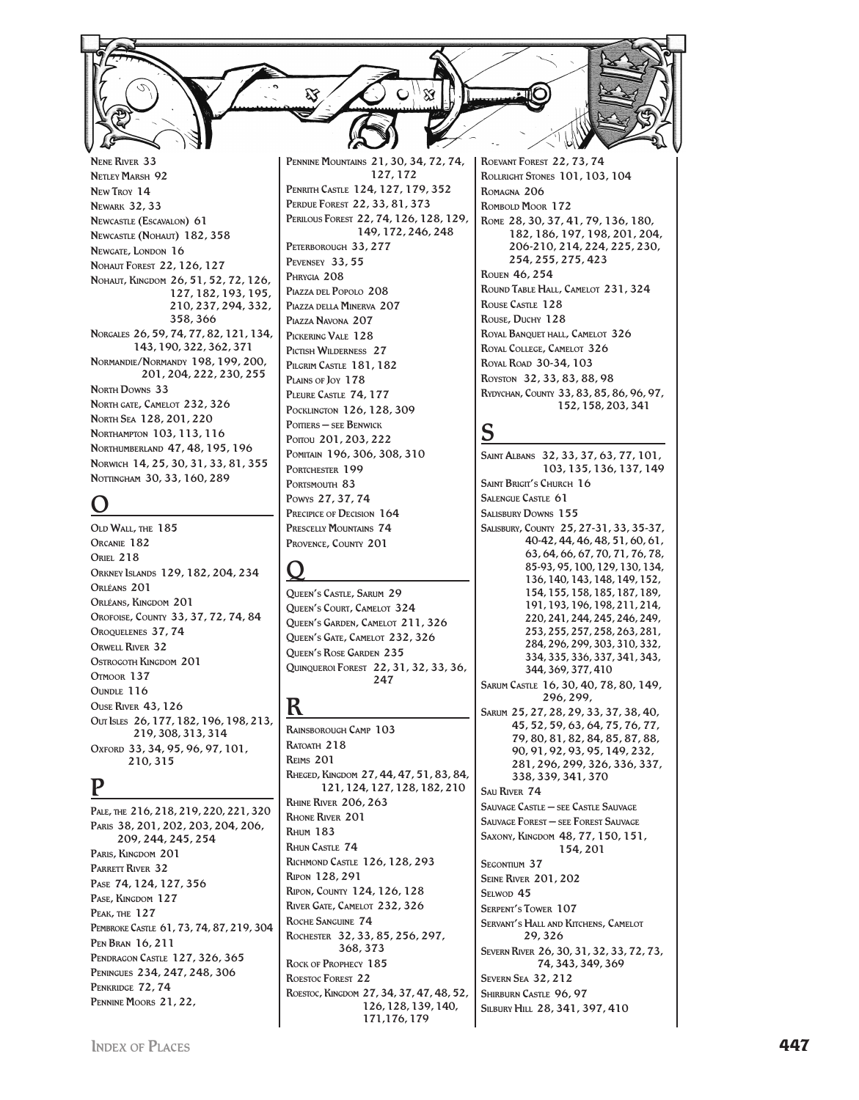Nene River 33 Netley Marsh 92 New Troy 14 Newark 32, 33 Newcastle (Escavalon) 61 Newcastle (Nohaut) 182, 358 Newgate, LONDON 16 Nohaut Forest 22, 126, 127 Nohaut, Kingdom 26, 51, 52, 72, 126, 127, 182, 193, 195, 210, 237, 294, 332, 358, 366 Norgales 26, 59, 74, 77, 82, 121, 134, 143, 190, 322, 362, 371 Normandie/Normandy 198, 199, 200, 201, 204, 222, 230, 255 **NORTH DOWNS 33** North gate, Camelot 232, 326 North Sea 128, 201, 220 Northampton 103, 113, 116 Northumberland 47, 48, 195, 196 Norwich 14, 25, 30, 31, 33, 81, 355 NOTTINGHAM 30, 33, 160, 289

## O

Old Wall, the 185 Orcanie 182 **ORIEL 218** Orkney Islands 129, 182, 204, 234 Orléans 201 Orléans, Kingdom 201 Orofoise, County 33, 37, 72, 74, 84 OROQUELENES 37, 74 Orwell River 32 Ostrogoth Kingdom 201 Otmoor 137 OUNDLE 116 Ouse River 43, 126 Out Isles 26, 177, 182, 196, 198, 213, 219, 308, 313, 314 Oxford 33, 34, 95, 96, 97, 101, 210, 315

### P

Pale, the 216, 218, 219, 220, 221, 320 Paris 38, 201, 202, 203, 204, 206, 209, 244, 245, 254 Paris, Kingdom 201 PARRETT RIVER 32 Pase 74, 124, 127, 356 Pase, Kingdom 127 Peak, the 127 Pembroke Castle 61, 73, 74, 87, 219, 304 Pen Bran 16, 211 PENDRAGON CASTLE 127, 326, 365 Peningues 234, 247, 248, 306 PENKRIDGE 72, 74 Pennine Moors 21, 22,

Pennine Mountains 21, 30, 34, 72, 74, 127, 172 Penrith Castle 124, 127, 179, 352 Perdue Forest 22, 33, 81, 373 Perilous Forest 22, 74, 126, 128, 129, 149, 172, 246, 248 PETERBOROUGH 33, 277 Pevensey 33, 55 Phrygia 208 Piazza del Popolo 208 Piazza della Minerva 207 Piazza Navona 207 Pickering Vale 128 PICTISH WILDERNESS 27 Pilgrim Castle 181, 182 PLAINS OF JOY 178 Pleure Castle 74, 177 Pocklington 126, 128, 309 Poitiers – see Benwick Porrou 201, 203, 222 Pomitain 196, 306, 308, 310 PORTCHESTER 199 PORTSMOUTH 83 Powys 27, 37, 74 PRECIPICE OF DECISION 164 Prescelly Mountains 74 Provence, County 201

# $\overline{\mathsf{Q}}$

Queen's Castle, Sarum 29 Queen's Court, Camelot 324 Queen's Garden, Camelot 211, 326 Queen's Gate, Camelot 232, 326 Queen's Rose Garden 235 Quinqueroi Forest 22, 31, 32, 33, 36,  $247$ 

### R

Rainsborough Camp 103 RATOATH 218 Reims 201 Rheged, Kingdom 27, 44, 47, 51, 83, 84, 121, 124, 127, 128, 182, 210 Rhine River 206, 263 Rhone River 201 Rhum 183 Rhun Castle 74 Richmond Castle 126, 128, 293 Ripon 128, 291 Ripon, County 124, 126, 128 River Gate, Camelot 232, 326 Roche Sanguine 74 Rochester 32, 33, 85, 256, 297, 368, 373 Rock of Prophecy 185 ROESTOC FOREST 22 Roestoc, Kingdom 27, 34, 37, 47, 48, 52, 126, 128, 139, 140, 171,176, 179

Roevant Forest 22, 73, 74 Rollright Stones 101, 103, 104 Romagna 206 Rombold Moor 172 Rome 28, 30, 37, 41, 79, 136, 180, 182, 186, 197, 198, 201, 204, 206-210, 214, 224, 225, 230, 254, 255, 275, 423 Rouen 46, 254 Round Table Hall, Camelot 231, 324 ROUSE CASTLE 128 Rouse, Duchy 128 ROYAL BANOUET HALL, CAMELOT 326 Royal College, Camelot 326 Royal Road 30-34, 103 Royston 32, 33, 83, 88, 98 Rydychan, County 33, 83, 85, 86, 96, 97, 152, 158, 203, 341

# S

Saint Albans 32, 33, 37, 63, 77, 101, 103, 135, 136, 137, 149 SAINT BRIGIT'S CHURCH 16 SALENGUE CASTLE 61 SALISBURY DOWNS 155 Salisbury, County 25, 27-31, 33, 35-37, 40-42, 44, 46, 48, 51, 60, 61, 63, 64, 66, 67, 70, 71, 76, 78, 85-93, 95, 100, 129, 130, 134, 136, 140, 143, 148, 149, 152, 154, 155, 158, 185, 187, 189, 191, 193, 196, 198, 211, 214, 220, 241, 244, 245, 246, 249, 253, 255, 257, 258, 263, 281, 284, 296, 299, 303, 310, 332, 334, 335, 336, 337, 341, 343, 344, 369, 377, 410 Sarum Castle 16, 30, 40, 78, 80, 149, 296, 299, Sarum 25, 27, 28, 29, 33, 37, 38, 40, 45, 52, 59, 63, 64, 75, 76, 77, 79, 80, 81, 82, 84, 85, 87, 88, 90, 91, 92, 93, 95, 149, 232, 281, 296, 299, 326, 336, 337, 338, 339, 341, 370 Sau River 74 Sauvage Castle – see Castle Sauvage Sauvage Forest – see Forest Sauvage Saxony, Kingdom 48, 77, 150, 151, 154, 201 SEGONTIUM 37 Seine River 201, 202  $S<sub>F</sub>$  Won 45 Serpent's Tower 107 Servant's Hall and Kitchens, Camelot 29, 326 Severn River 26, 30, 31, 32, 33, 72, 73, 74, 343, 349, 369 Severn Sea 32, 212 SHIRBURN CASTLE 96, 97 Silbury Hill 28, 341, 397, 410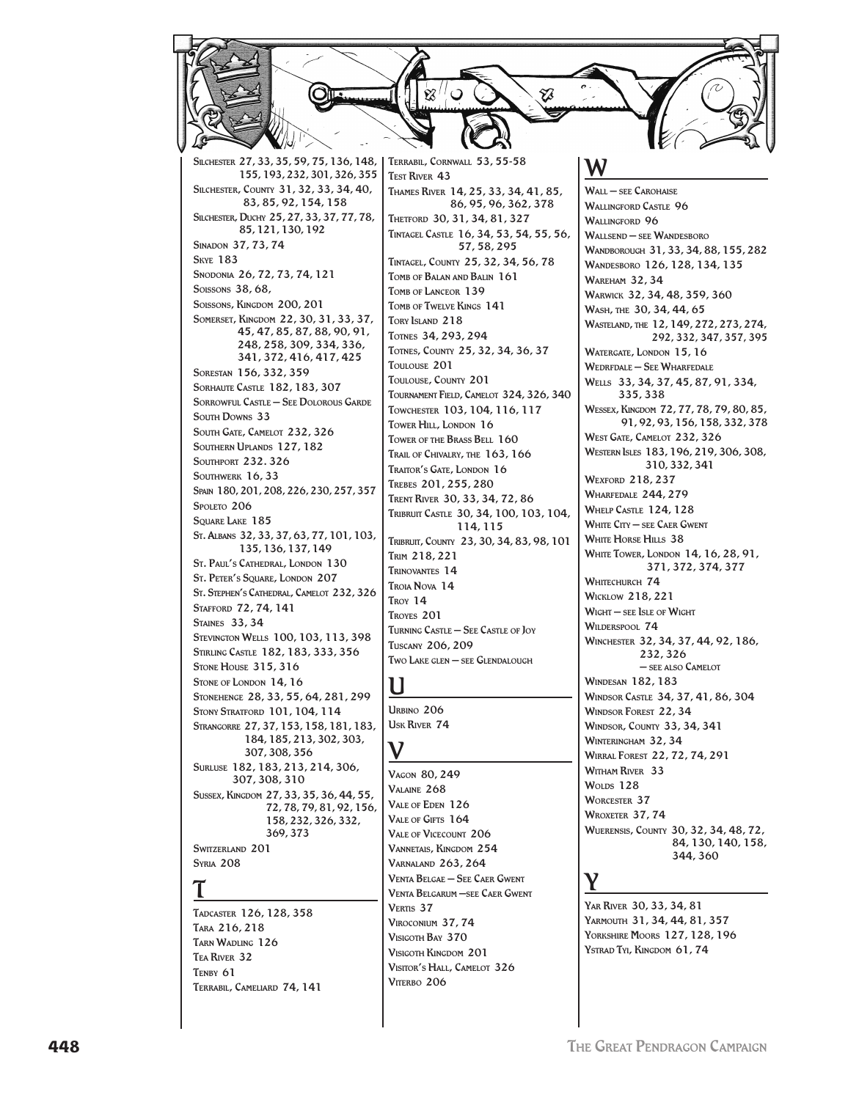

**VENTA BELGAE - SEE CAER GWENT** VENTA BELGARUM -SEE CAER GWENT

VERTIS<sub>37</sub>

VIROCONIUM 37, 74

VISIGOTH BAY 370

VITERBO 206

VISIGOTH KINGDOM 201

VISITOR'S HALL, CAMELOT 326

YAR RIVER 30, 33, 34, 81 YARMOUTH 31, 34, 44, 81, 357 YORKSHIRE MOORS 127, 128, 196 YSTRAD TYL, KINGDOM 61, 74

**SYRIA 208** 

TADCASTER 126, 128, 358 TARA 216, 218 TARN WADLING 126 TEA RIVER 32 TENBY 61 TERRABIL, CAMELIARD 74, 141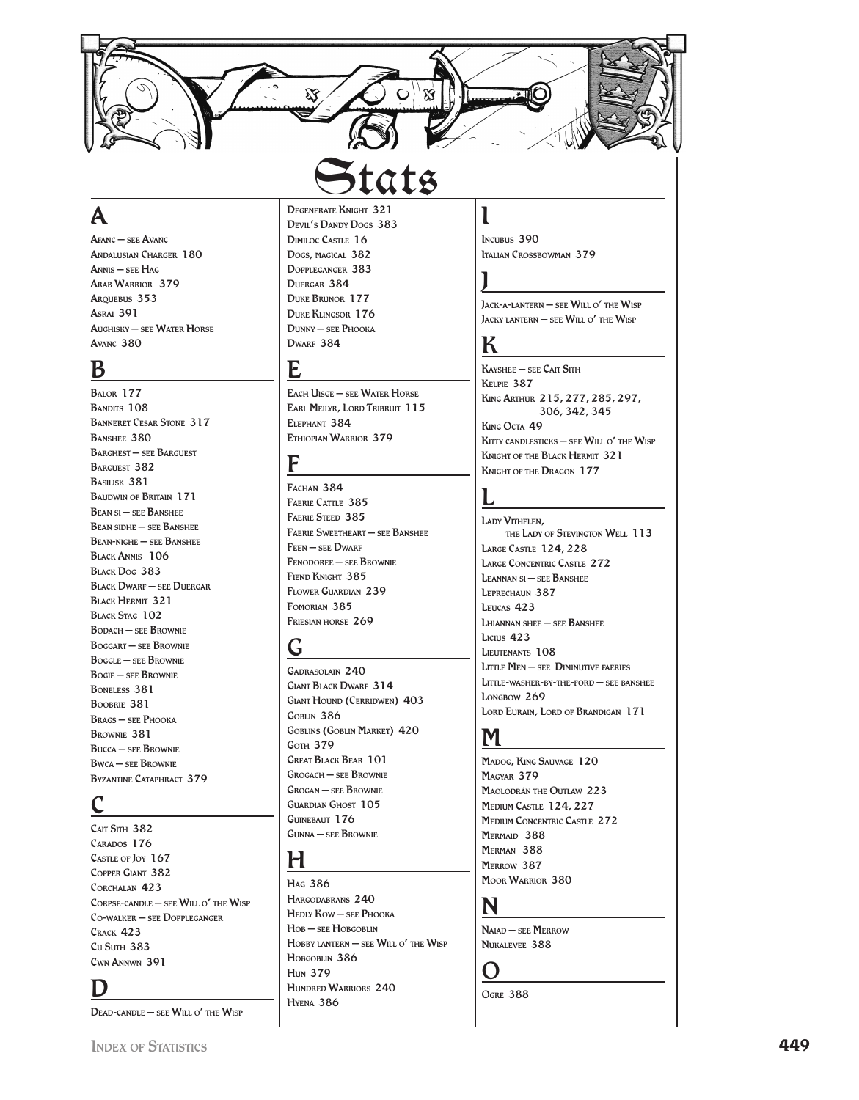

**A**<br>Afanc – see Avanc Andalus ian Charger 180 Ann s – see H ag i Arab Warrior 379 Arque bus 353 Asrai 391 Aughisky – see Water Horse Avanc 380

 $\frac{\text{B}}{\text{Bailor }177}$ BANDITS 108 Banneret Cesar Stone 317 Banshee 380 Barghest – see Barguest Barguest 382 Basilisk 381 Baudwin of Britain 171 Bean si – see Banshee Bean sidhe – see Banshee Bean-nighe – see Banshee Black Annis 106 Black Dog 383 Black Dwarf – see Duergar<br>Black Hermit 321<br>Black Stag 102 Bodach – see Brownie Boggart – see Brownie Boggle – see Brownie Bogie – see Brownie Boneless 381 Boobrie 381 Brags – see Phooka Brownie 381 Bucca – see Brownie Bwca – see Brownie Byzantine Cataphract 379

CAIT SITH 382 CARADOS 176 CASTLE OF JOY 167 Copper Giant 382 Corchalan 423 CORPSE-CANDLE – SEE WILL O' THE WISP C o -walker – see Dopple gan ger Crack 423 Cu Suth 383 Cwn Annwn 391

**D**<br>Dead-candle – see Will o' the Wisp

### DEGENERATE KNIGHT 321 DEVIL'S DANDY DOGS 383 g D<sub>IMILOC</sub> Castle 16 Dogs, magical 382 g Dopple gan ger 383 DUERGAR 384 Duke Brunor 177 Duke Klingsor 176 Dunny – see Phooka

**DWARF 384** 

**E**<br>Each Uisge – see Water Horse Earl Meilyr, Lord Tribruit 115 Elephant 384 Ethiopian Warrior 379

 $\frac{\mathbf{F}}{\mathbf{F}_{\text{ACHAN}}\;384}$ FAERIE CATTLE 385 Faerie Steed 385 Faerie Sweetheart – see Banshee FEEN – SEE DWARF Fenodoree – see Brownie FIEND KNIGHT 385 Flower Guardian 239 Fomorian 385 Friesian horse 269<br> **G**<br>
GADRASOLAIN 240

Giant Black Dwarf 314 Giant Hound (Cerridwen) 403 Goblin 386 Goblins (Goblin Market) 420 **GOTH 379** Great Black Bear 101 Grogach – see Brownie Grogan – see Brownie Guardian Ghost 105 Guinebaut 176 Gunna – see Brownie

 $H_{\text{Hag}}$  386 Hargodabrans 240 Hedly Kow – see Phooka Hob – see Hobgoblin Hobby lantern — see Will o' the Wisp H obg o lin 386 l **HUN 379** Hundred Warriors 240 Hyena 386

**1**<br>Incubus 390 Italian Cross bowman 379

**J**<br>Jack-a-lantern — see Will o' the Wisp Jacky lantern — see Will o' the Wisp

 ${\bf K}$ Kayshee – see Cait Sith Kelp ie 387 Kin Arthur 215, 277, 285, 297, g

306, 342, 345 Kin Octa 49 g Kitty candlesticks — see Will o' the Wisp Knight of the Black Hermit 321 Knight of the Dragon 177

**L**<br>Lady Vithelen, the Lady of Stevington Well 113 Larg e Castle 124, 228 LARGE CONCENTRIC CASTLE 272 Leannan s i – see Banshee Leprechaun 387 Leucas 423 Lhiannan shee – see Banshee Licius 423 LIEUTENANTS 108 Little Men – see Diminutive faeries Little-washer-by-the-ford – see banshee LONGBOW 269 Lord Eurain, Lord of Brandigan 171

M<br>Madog, King Sauvage 120 MACVAR 370 Maolodrân the Outlaw 223 Medium Castle 124, 227 Medium Concentric Castle 272 MERMAID 388 Merman 388 Merrow 387 Moor Warrior 380

N<br>Naiad – see Merrow Nukalevee 388

OGRE 388